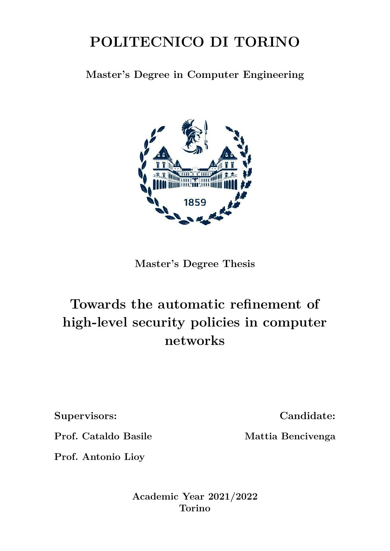## **POLITECNICO DI TORINO**

**Master's Degree in Computer Engineering**



**Master's Degree Thesis**

## **Towards the automatic refinement of high-level security policies in computer networks**

**Supervisors:**

**Candidate:**

**Mattia Bencivenga**

**Prof. Cataldo Basile**

**Prof. Antonio Lioy**

**Academic Year 2021/2022 Torino**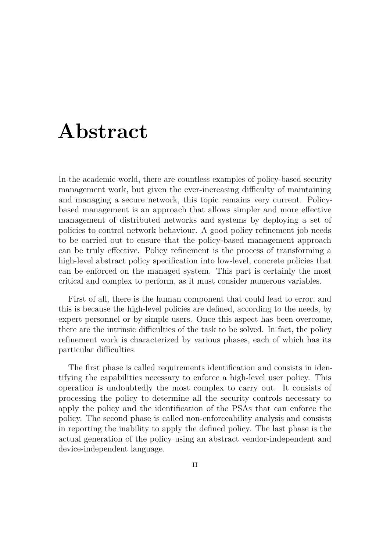## **Abstract**

In the academic world, there are countless examples of policy-based security management work, but given the ever-increasing difficulty of maintaining and managing a secure network, this topic remains very current. Policybased management is an approach that allows simpler and more effective management of distributed networks and systems by deploying a set of policies to control network behaviour. A good policy refinement job needs to be carried out to ensure that the policy-based management approach can be truly effective. Policy refinement is the process of transforming a high-level abstract policy specification into low-level, concrete policies that can be enforced on the managed system. This part is certainly the most critical and complex to perform, as it must consider numerous variables.

First of all, there is the human component that could lead to error, and this is because the high-level policies are defined, according to the needs, by expert personnel or by simple users. Once this aspect has been overcome, there are the intrinsic difficulties of the task to be solved. In fact, the policy refinement work is characterized by various phases, each of which has its particular difficulties.

The first phase is called requirements identification and consists in identifying the capabilities necessary to enforce a high-level user policy. This operation is undoubtedly the most complex to carry out. It consists of processing the policy to determine all the security controls necessary to apply the policy and the identification of the PSAs that can enforce the policy. The second phase is called non-enforceability analysis and consists in reporting the inability to apply the defined policy. The last phase is the actual generation of the policy using an abstract vendor-independent and device-independent language.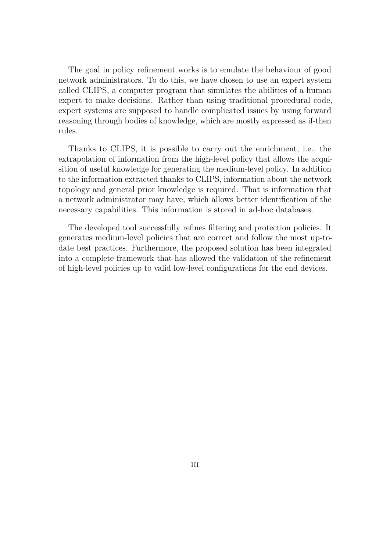The goal in policy refinement works is to emulate the behaviour of good network administrators. To do this, we have chosen to use an expert system called CLIPS, a computer program that simulates the abilities of a human expert to make decisions. Rather than using traditional procedural code, expert systems are supposed to handle complicated issues by using forward reasoning through bodies of knowledge, which are mostly expressed as if-then rules.

Thanks to CLIPS, it is possible to carry out the enrichment, i.e., the extrapolation of information from the high-level policy that allows the acquisition of useful knowledge for generating the medium-level policy. In addition to the information extracted thanks to CLIPS, information about the network topology and general prior knowledge is required. That is information that a network administrator may have, which allows better identification of the necessary capabilities. This information is stored in ad-hoc databases.

The developed tool successfully refines filtering and protection policies. It generates medium-level policies that are correct and follow the most up-todate best practices. Furthermore, the proposed solution has been integrated into a complete framework that has allowed the validation of the refinement of high-level policies up to valid low-level configurations for the end devices.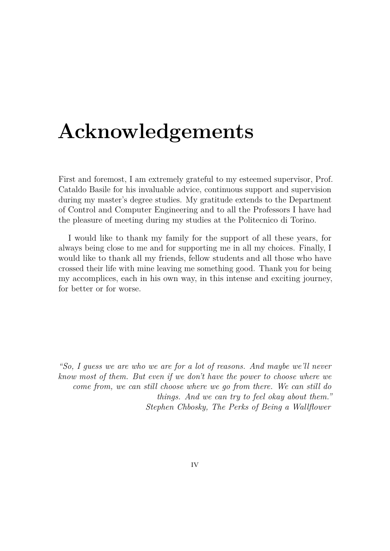# **Acknowledgements**

First and foremost, I am extremely grateful to my esteemed supervisor, Prof. Cataldo Basile for his invaluable advice, continuous support and supervision during my master's degree studies. My gratitude extends to the Department of Control and Computer Engineering and to all the Professors I have had the pleasure of meeting during my studies at the Politecnico di Torino.

I would like to thank my family for the support of all these years, for always being close to me and for supporting me in all my choices. Finally, I would like to thank all my friends, fellow students and all those who have crossed their life with mine leaving me something good. Thank you for being my accomplices, each in his own way, in this intense and exciting journey, for better or for worse.

*"So, I guess we are who we are for a lot of reasons. And maybe we'll never know most of them. But even if we don't have the power to choose where we come from, we can still choose where we go from there. We can still do things. And we can try to feel okay about them." Stephen Chbosky, The Perks of Being a Wallflower*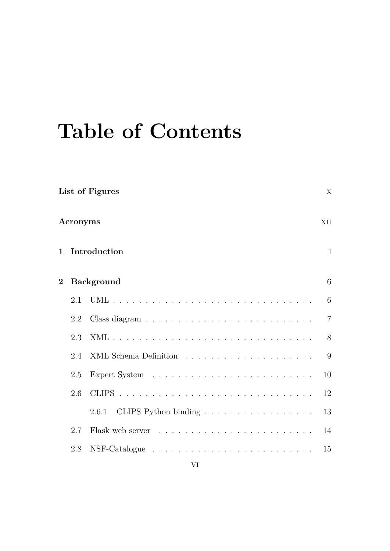# **Table of Contents**

|                                     | List of Figures |                               |                |  |
|-------------------------------------|-----------------|-------------------------------|----------------|--|
|                                     | Acronyms        |                               | XII            |  |
| $\mathbf{1}$                        |                 | Introduction                  | $\mathbf{1}$   |  |
| <b>Background</b><br>$\overline{2}$ |                 |                               |                |  |
|                                     | 2.1             |                               | 6              |  |
|                                     | 2.2             |                               | $\overline{7}$ |  |
|                                     | 2.3             |                               | 8              |  |
|                                     | 2.4             |                               | 9              |  |
|                                     | 2.5             |                               | 10             |  |
|                                     | 2.6             |                               | 12             |  |
|                                     |                 | CLIPS Python binding<br>2.6.1 | 13             |  |
|                                     | 2.7             |                               | 14             |  |
|                                     | 2.8             |                               | 15             |  |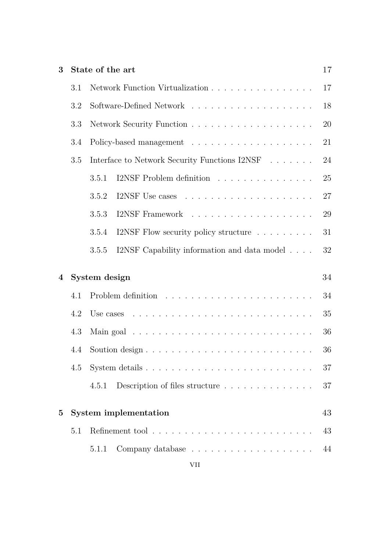| 3<br>State of the art                  |     |                                                      | 17 |  |
|----------------------------------------|-----|------------------------------------------------------|----|--|
| Network Function Virtualization<br>3.1 |     |                                                      |    |  |
|                                        | 3.2 |                                                      | 18 |  |
|                                        | 3.3 |                                                      | 20 |  |
|                                        | 3.4 |                                                      | 21 |  |
|                                        | 3.5 | Interface to Network Security Functions I2NSF        | 24 |  |
|                                        |     | I2NSF Problem definition<br>3.5.1                    | 25 |  |
|                                        |     | 3.5.2                                                | 27 |  |
|                                        |     | 3.5.3                                                | 29 |  |
|                                        |     | I2NSF Flow security policy structure<br>3.5.4        | 31 |  |
|                                        |     | I2NSF Capability information and data model<br>3.5.5 | 32 |  |
| $\overline{4}$                         |     | System design                                        | 34 |  |
|                                        | 4.1 |                                                      | 34 |  |
|                                        | 4.2 | Use cases                                            | 35 |  |
|                                        | 4.3 |                                                      | 36 |  |
|                                        | 4.4 |                                                      |    |  |
|                                        | 4.5 |                                                      | 37 |  |
|                                        |     | Description of files structure<br>4.5.1              | 37 |  |
| System implementation<br>$\bf{5}$      |     |                                                      | 43 |  |
|                                        | 5.1 |                                                      |    |  |
|                                        |     | 5.1.1                                                | 44 |  |
|                                        |     |                                                      |    |  |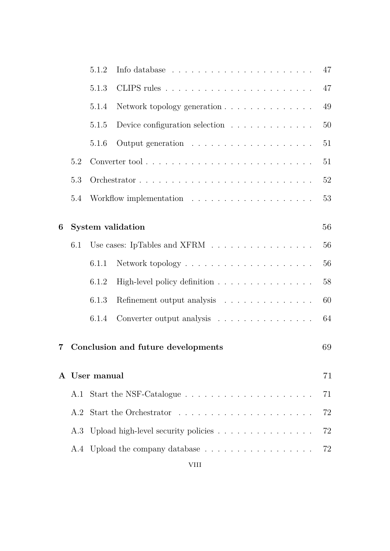|   |                                                                                               | 5.1.2                                   | Info database $\ldots \ldots \ldots \ldots \ldots \ldots \ldots \ldots$ | 47 |
|---|-----------------------------------------------------------------------------------------------|-----------------------------------------|-------------------------------------------------------------------------|----|
|   |                                                                                               | 5.1.3                                   |                                                                         | 47 |
|   |                                                                                               | 5.1.4                                   | Network topology generation $\ldots \ldots \ldots \ldots$               | 49 |
|   |                                                                                               | 5.1.5                                   | Device configuration selection $\ldots \ldots \ldots \ldots$            | 50 |
|   |                                                                                               | 5.1.6                                   |                                                                         | 51 |
|   | 5.2                                                                                           |                                         |                                                                         | 51 |
|   | 5.3                                                                                           |                                         |                                                                         | 52 |
|   | 5.4                                                                                           |                                         |                                                                         | 53 |
| 6 |                                                                                               |                                         | <b>System validation</b>                                                | 56 |
|   | Use cases: IpTables and XFRM $\;\dots\; \dots\; \dots\; \dots\; \dots\; \dots\; \dots$<br>6.1 |                                         |                                                                         | 56 |
|   |                                                                                               | 6.1.1                                   |                                                                         | 56 |
|   |                                                                                               | 6.1.2                                   | High-level policy definition                                            | 58 |
|   |                                                                                               | 6.1.3                                   | Refinement output analysis                                              | 60 |
|   |                                                                                               | 6.1.4                                   | Converter output analysis                                               | 64 |
| 7 |                                                                                               |                                         | Conclusion and future developments                                      | 69 |
|   |                                                                                               | A User manual                           |                                                                         | 71 |
|   | A.1                                                                                           |                                         |                                                                         | 71 |
|   | A.2                                                                                           |                                         |                                                                         |    |
|   |                                                                                               | A.3 Upload high-level security policies |                                                                         |    |
|   |                                                                                               | A.4 Upload the company database<br>72   |                                                                         |    |
|   |                                                                                               |                                         |                                                                         |    |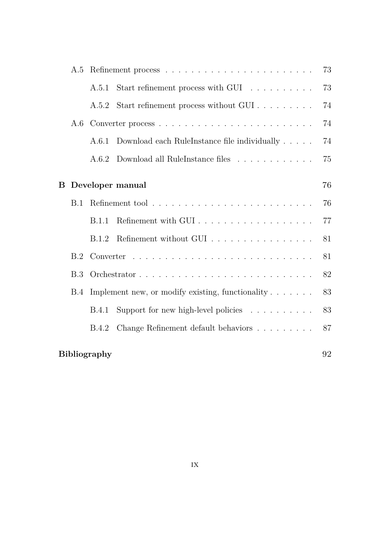|   | A.5                       |                                                                |                                                  |    |  |
|---|---------------------------|----------------------------------------------------------------|--------------------------------------------------|----|--|
|   |                           | A.5.1                                                          | Start refinement process with GUI                | 73 |  |
|   |                           | A.5.2                                                          | Start refinement process without GUI             | 74 |  |
|   | A.6                       |                                                                |                                                  |    |  |
|   |                           | A.6.1                                                          | Download each Rule<br>Instance file individually | 74 |  |
|   |                           |                                                                | A.6.2 Download all RuleInstance files            | 75 |  |
| Β |                           |                                                                | Developer manual                                 | 76 |  |
|   | B.1                       |                                                                |                                                  |    |  |
|   |                           | <b>B.1.1</b>                                                   |                                                  | 77 |  |
|   |                           | B.1.2                                                          | Refinement without GUI                           | 81 |  |
|   | B.2                       |                                                                |                                                  | 81 |  |
|   | B.3                       |                                                                |                                                  | 82 |  |
|   | <b>B.4</b>                | Implement new, or modify existing, functionality $\dots \dots$ |                                                  |    |  |
|   |                           | <b>B.4.1</b>                                                   | Support for new high-level policies              | 83 |  |
|   |                           | B.4.2                                                          | Change Refinement default behaviors              | 87 |  |
|   | 92<br><b>Bibliography</b> |                                                                |                                                  |    |  |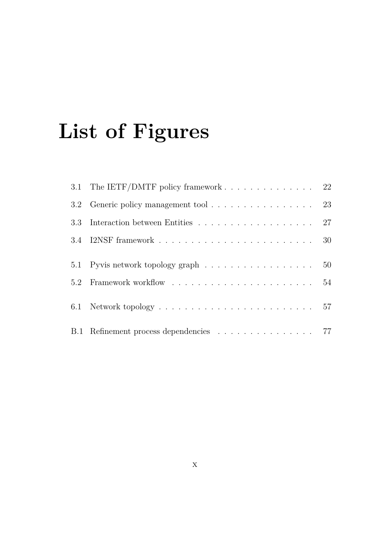# <span id="page-10-0"></span>**List of Figures**

| 3.1 The IETF/DMTF policy framework $\ldots \ldots \ldots \ldots \ldots$ 22 |  |
|----------------------------------------------------------------------------|--|
|                                                                            |  |
| 3.3 Interaction between Entities 27                                        |  |
|                                                                            |  |
| 5.1 Pyvis network topology graph 50                                        |  |
|                                                                            |  |
|                                                                            |  |
| B.1 Refinement process dependencies 77                                     |  |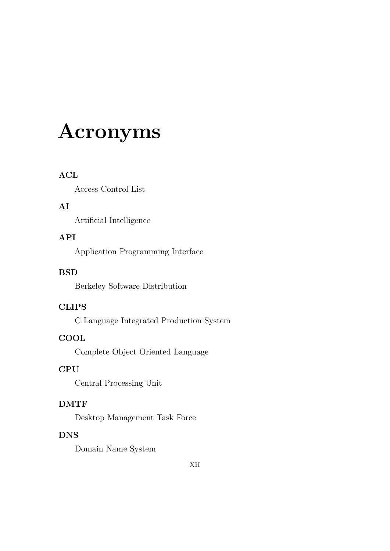# <span id="page-12-0"></span>**Acronyms**

#### **ACL**

Access Control List

#### **AI**

Artificial Intelligence

#### **API**

Application Programming Interface

#### **BSD**

Berkeley Software Distribution

#### **CLIPS**

C Language Integrated Production System

#### **COOL**

Complete Object Oriented Language

#### **CPU**

Central Processing Unit

#### **DMTF**

Desktop Management Task Force

#### **DNS**

Domain Name System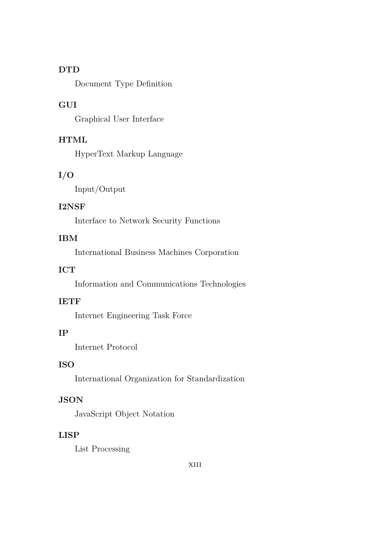#### **DTD**

Document Type Definition

#### **GUI**

Graphical User Interface

#### **HTML**

HyperText Markup Language

#### **I/O**

Input/Output

#### **I2NSF**

Interface to Network Security Functions

#### **IBM**

International Business Machines Corporation

#### **ICT**

Information and Communications Technologies

#### **IETF**

Internet Engineering Task Force

#### **IP**

Internet Protocol

#### **ISO**

International Organization for Standardization

#### **JSON**

JavaScript Object Notation

#### **LISP**

List Processing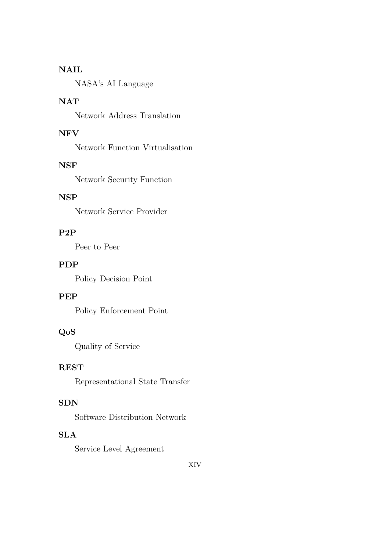#### **NAIL**

NASA's AI Language

#### **NAT**

Network Address Translation

#### **NFV**

Network Function Virtualisation

#### **NSF**

Network Security Function

#### **NSP**

Network Service Provider

#### **P2P**

Peer to Peer

#### **PDP**

Policy Decision Point

#### **PEP**

Policy Enforcement Point

#### **QoS**

Quality of Service

#### **REST**

Representational State Transfer

#### **SDN**

Software Distribution Network

#### **SLA**

Service Level Agreement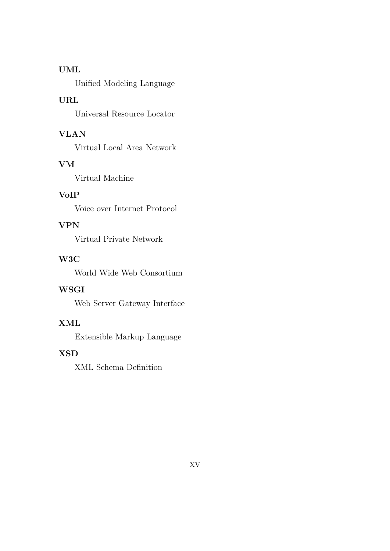#### **UML**

Unified Modeling Language

#### **URL**

Universal Resource Locator

#### **VLAN**

Virtual Local Area Network

#### **VM**

Virtual Machine

#### **VoIP**

Voice over Internet Protocol

#### **VPN**

Virtual Private Network

#### **W3C**

World Wide Web Consortium

#### **WSGI**

Web Server Gateway Interface

#### **XML**

Extensible Markup Language

#### **XSD**

XML Schema Definition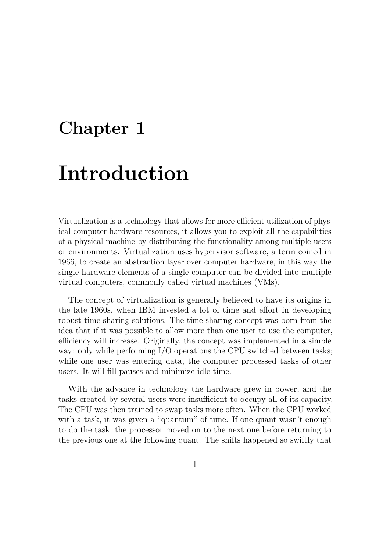## <span id="page-16-0"></span>**Chapter 1**

# **Introduction**

Virtualization is a technology that allows for more efficient utilization of physical computer hardware resources, it allows you to exploit all the capabilities of a physical machine by distributing the functionality among multiple users or environments. Virtualization uses hypervisor software, a term coined in 1966, to create an abstraction layer over computer hardware, in this way the single hardware elements of a single computer can be divided into multiple virtual computers, commonly called virtual machines (VMs).

The concept of virtualization is generally believed to have its origins in the late 1960s, when IBM invested a lot of time and effort in developing robust time-sharing solutions. The time-sharing concept was born from the idea that if it was possible to allow more than one user to use the computer, efficiency will increase. Originally, the concept was implemented in a simple way: only while performing I/O operations the CPU switched between tasks; while one user was entering data, the computer processed tasks of other users. It will fill pauses and minimize idle time.

With the advance in technology the hardware grew in power, and the tasks created by several users were insufficient to occupy all of its capacity. The CPU was then trained to swap tasks more often. When the CPU worked with a task, it was given a "quantum" of time. If one quant wasn't enough to do the task, the processor moved on to the next one before returning to the previous one at the following quant. The shifts happened so swiftly that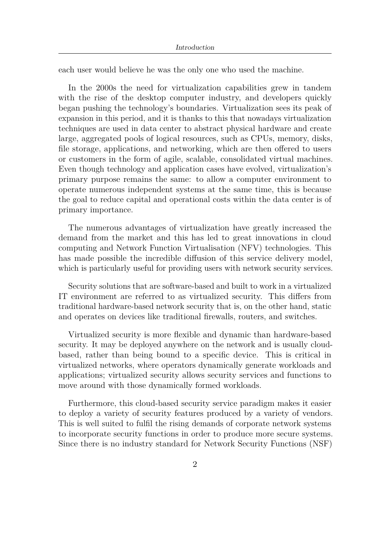each user would believe he was the only one who used the machine.

In the 2000s the need for virtualization capabilities grew in tandem with the rise of the desktop computer industry, and developers quickly began pushing the technology's boundaries. Virtualization sees its peak of expansion in this period, and it is thanks to this that nowadays virtualization techniques are used in data center to abstract physical hardware and create large, aggregated pools of logical resources, such as CPUs, memory, disks, file storage, applications, and networking, which are then offered to users or customers in the form of agile, scalable, consolidated virtual machines. Even though technology and application cases have evolved, virtualization's primary purpose remains the same: to allow a computer environment to operate numerous independent systems at the same time, this is because the goal to reduce capital and operational costs within the data center is of primary importance.

The numerous advantages of virtualization have greatly increased the demand from the market and this has led to great innovations in cloud computing and Network Function Virtualisation (NFV) technologies. This has made possible the incredible diffusion of this service delivery model, which is particularly useful for providing users with network security services.

Security solutions that are software-based and built to work in a virtualized IT environment are referred to as virtualized security. This differs from traditional hardware-based network security that is, on the other hand, static and operates on devices like traditional firewalls, routers, and switches.

Virtualized security is more flexible and dynamic than hardware-based security. It may be deployed anywhere on the network and is usually cloudbased, rather than being bound to a specific device. This is critical in virtualized networks, where operators dynamically generate workloads and applications; virtualized security allows security services and functions to move around with those dynamically formed workloads.

Furthermore, this cloud-based security service paradigm makes it easier to deploy a variety of security features produced by a variety of vendors. This is well suited to fulfil the rising demands of corporate network systems to incorporate security functions in order to produce more secure systems. Since there is no industry standard for Network Security Functions (NSF)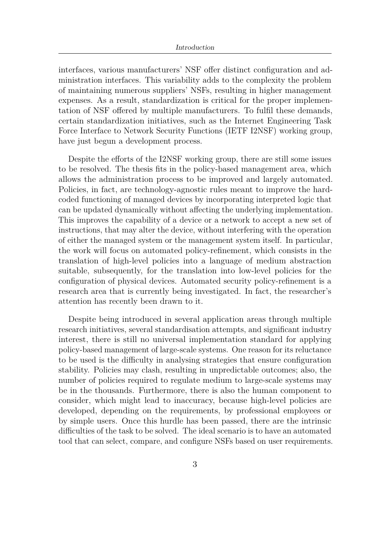interfaces, various manufacturers' NSF offer distinct configuration and administration interfaces. This variability adds to the complexity the problem of maintaining numerous suppliers' NSFs, resulting in higher management expenses. As a result, standardization is critical for the proper implementation of NSF offered by multiple manufacturers. To fulfil these demands, certain standardization initiatives, such as the Internet Engineering Task Force Interface to Network Security Functions (IETF I2NSF) working group, have just begun a development process.

Despite the efforts of the I2NSF working group, there are still some issues to be resolved. The thesis fits in the policy-based management area, which allows the administration process to be improved and largely automated. Policies, in fact, are technology-agnostic rules meant to improve the hardcoded functioning of managed devices by incorporating interpreted logic that can be updated dynamically without affecting the underlying implementation. This improves the capability of a device or a network to accept a new set of instructions, that may alter the device, without interfering with the operation of either the managed system or the management system itself. In particular, the work will focus on automated policy-refinement, which consists in the translation of high-level policies into a language of medium abstraction suitable, subsequently, for the translation into low-level policies for the configuration of physical devices. Automated security policy-refinement is a research area that is currently being investigated. In fact, the researcher's attention has recently been drawn to it.

Despite being introduced in several application areas through multiple research initiatives, several standardisation attempts, and significant industry interest, there is still no universal implementation standard for applying policy-based management of large-scale systems. One reason for its reluctance to be used is the difficulty in analysing strategies that ensure configuration stability. Policies may clash, resulting in unpredictable outcomes; also, the number of policies required to regulate medium to large-scale systems may be in the thousands. Furthermore, there is also the human component to consider, which might lead to inaccuracy, because high-level policies are developed, depending on the requirements, by professional employees or by simple users. Once this hurdle has been passed, there are the intrinsic difficulties of the task to be solved. The ideal scenario is to have an automated tool that can select, compare, and configure NSFs based on user requirements.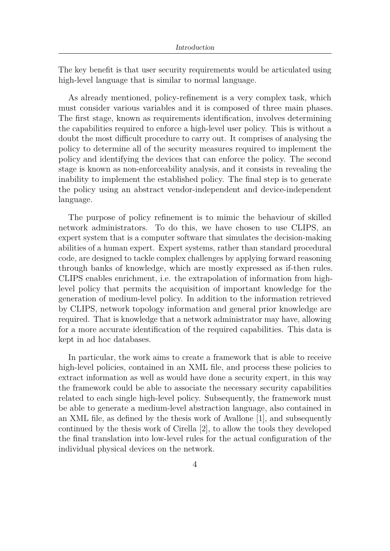The key benefit is that user security requirements would be articulated using high-level language that is similar to normal language.

As already mentioned, policy-refinement is a very complex task, which must consider various variables and it is composed of three main phases. The first stage, known as requirements identification, involves determining the capabilities required to enforce a high-level user policy. This is without a doubt the most difficult procedure to carry out. It comprises of analysing the policy to determine all of the security measures required to implement the policy and identifying the devices that can enforce the policy. The second stage is known as non-enforceability analysis, and it consists in revealing the inability to implement the established policy. The final step is to generate the policy using an abstract vendor-independent and device-independent language.

The purpose of policy refinement is to mimic the behaviour of skilled network administrators. To do this, we have chosen to use CLIPS, an expert system that is a computer software that simulates the decision-making abilities of a human expert. Expert systems, rather than standard procedural code, are designed to tackle complex challenges by applying forward reasoning through banks of knowledge, which are mostly expressed as if-then rules. CLIPS enables enrichment, i.e. the extrapolation of information from highlevel policy that permits the acquisition of important knowledge for the generation of medium-level policy. In addition to the information retrieved by CLIPS, network topology information and general prior knowledge are required. That is knowledge that a network administrator may have, allowing for a more accurate identification of the required capabilities. This data is kept in ad hoc databases.

In particular, the work aims to create a framework that is able to receive high-level policies, contained in an XML file, and process these policies to extract information as well as would have done a security expert, in this way the framework could be able to associate the necessary security capabilities related to each single high-level policy. Subsequently, the framework must be able to generate a medium-level abstraction language, also contained in an XML file, as defined by the thesis work of Avallone [\[1\]](#page-107-0), and subsequently continued by the thesis work of Cirella [\[2\]](#page-107-1), to allow the tools they developed the final translation into low-level rules for the actual configuration of the individual physical devices on the network.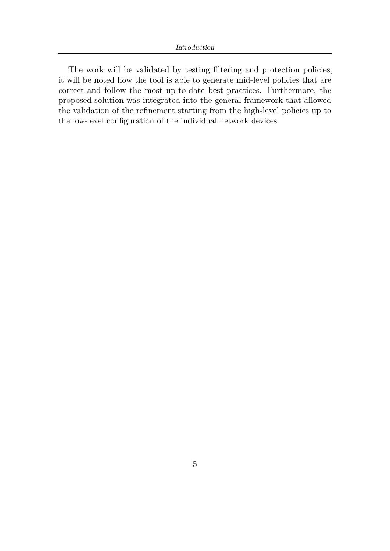The work will be validated by testing filtering and protection policies, it will be noted how the tool is able to generate mid-level policies that are correct and follow the most up-to-date best practices. Furthermore, the proposed solution was integrated into the general framework that allowed the validation of the refinement starting from the high-level policies up to the low-level configuration of the individual network devices.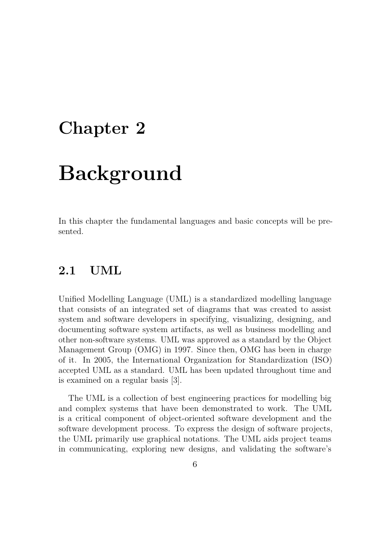## <span id="page-21-0"></span>**Chapter 2**

# **Background**

In this chapter the fundamental languages and basic concepts will be presented.

### <span id="page-21-1"></span>**2.1 UML**

Unified Modelling Language (UML) is a standardized modelling language that consists of an integrated set of diagrams that was created to assist system and software developers in specifying, visualizing, designing, and documenting software system artifacts, as well as business modelling and other non-software systems. UML was approved as a standard by the Object Management Group (OMG) in 1997. Since then, OMG has been in charge of it. In 2005, the International Organization for Standardization (ISO) accepted UML as a standard. UML has been updated throughout time and is examined on a regular basis [\[3\]](#page-107-2).

The UML is a collection of best engineering practices for modelling big and complex systems that have been demonstrated to work. The UML is a critical component of object-oriented software development and the software development process. To express the design of software projects, the UML primarily use graphical notations. The UML aids project teams in communicating, exploring new designs, and validating the software's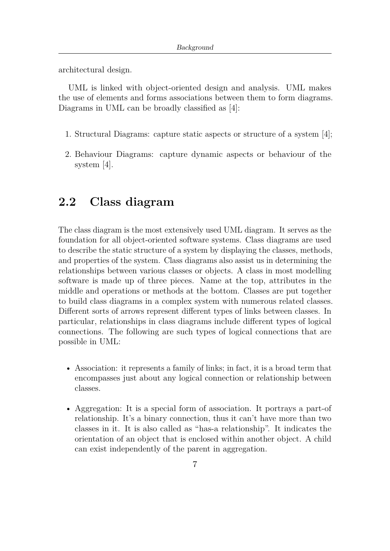architectural design.

UML is linked with object-oriented design and analysis. UML makes the use of elements and forms associations between them to form diagrams. Diagrams in UML can be broadly classified as [\[4\]](#page-107-3):

- 1. Structural Diagrams: capture static aspects or structure of a system [\[4\]](#page-107-3);
- 2. Behaviour Diagrams: capture dynamic aspects or behaviour of the system [\[4\]](#page-107-3).

### <span id="page-22-0"></span>**2.2 Class diagram**

The class diagram is the most extensively used UML diagram. It serves as the foundation for all object-oriented software systems. Class diagrams are used to describe the static structure of a system by displaying the classes, methods, and properties of the system. Class diagrams also assist us in determining the relationships between various classes or objects. A class in most modelling software is made up of three pieces. Name at the top, attributes in the middle and operations or methods at the bottom. Classes are put together to build class diagrams in a complex system with numerous related classes. Different sorts of arrows represent different types of links between classes. In particular, relationships in class diagrams include different types of logical connections. The following are such types of logical connections that are possible in UML:

- Association: it represents a family of links; in fact, it is a broad term that encompasses just about any logical connection or relationship between classes.
- Aggregation: It is a special form of association. It portrays a part-of relationship. It's a binary connection, thus it can't have more than two classes in it. It is also called as "has-a relationship". It indicates the orientation of an object that is enclosed within another object. A child can exist independently of the parent in aggregation.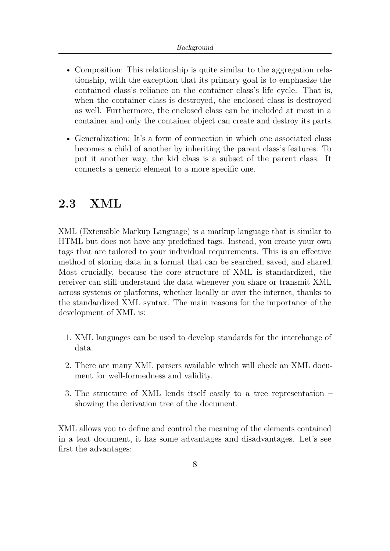- Composition: This relationship is quite similar to the aggregation relationship, with the exception that its primary goal is to emphasize the contained class's reliance on the container class's life cycle. That is, when the container class is destroyed, the enclosed class is destroyed as well. Furthermore, the enclosed class can be included at most in a container and only the container object can create and destroy its parts.
- Generalization: It's a form of connection in which one associated class becomes a child of another by inheriting the parent class's features. To put it another way, the kid class is a subset of the parent class. It connects a generic element to a more specific one.

## <span id="page-23-0"></span>**2.3 XML**

XML (Extensible Markup Language) is a markup language that is similar to HTML but does not have any predefined tags. Instead, you create your own tags that are tailored to your individual requirements. This is an effective method of storing data in a format that can be searched, saved, and shared. Most crucially, because the core structure of XML is standardized, the receiver can still understand the data whenever you share or transmit XML across systems or platforms, whether locally or over the internet, thanks to the standardized XML syntax. The main reasons for the importance of the development of XML is:

- 1. XML languages can be used to develop standards for the interchange of data.
- 2. There are many XML parsers available which will check an XML document for well-formedness and validity.
- 3. The structure of XML lends itself easily to a tree representation showing the derivation tree of the document.

XML allows you to define and control the meaning of the elements contained in a text document, it has some advantages and disadvantages. Let's see first the advantages: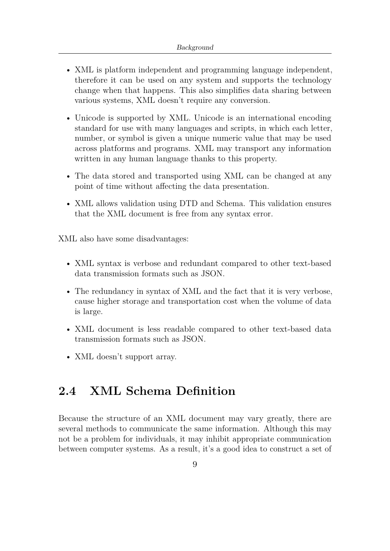- XML is platform independent and programming language independent, therefore it can be used on any system and supports the technology change when that happens. This also simplifies data sharing between various systems, XML doesn't require any conversion.
- Unicode is supported by XML. Unicode is an international encoding standard for use with many languages and scripts, in which each letter, number, or symbol is given a unique numeric value that may be used across platforms and programs. XML may transport any information written in any human language thanks to this property.
- The data stored and transported using XML can be changed at any point of time without affecting the data presentation.
- XML allows validation using DTD and Schema. This validation ensures that the XML document is free from any syntax error.

XML also have some disadvantages:

- XML syntax is verbose and redundant compared to other text-based data transmission formats such as JSON.
- The redundancy in syntax of XML and the fact that it is very verbose, cause higher storage and transportation cost when the volume of data is large.
- XML document is less readable compared to other text-based data transmission formats such as JSON.
- XML doesn't support array.

## <span id="page-24-0"></span>**2.4 XML Schema Definition**

Because the structure of an XML document may vary greatly, there are several methods to communicate the same information. Although this may not be a problem for individuals, it may inhibit appropriate communication between computer systems. As a result, it's a good idea to construct a set of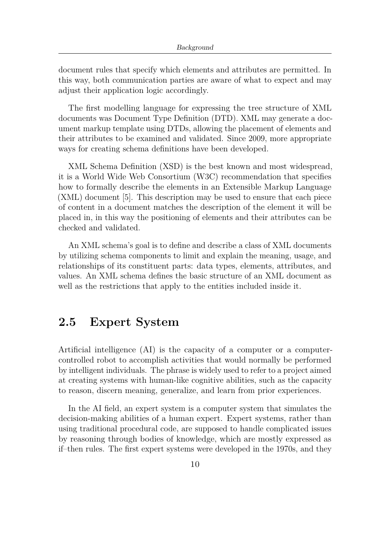document rules that specify which elements and attributes are permitted. In this way, both communication parties are aware of what to expect and may adjust their application logic accordingly.

The first modelling language for expressing the tree structure of XML documents was Document Type Definition (DTD). XML may generate a document markup template using DTDs, allowing the placement of elements and their attributes to be examined and validated. Since 2009, more appropriate ways for creating schema definitions have been developed.

XML Schema Definition (XSD) is the best known and most widespread, it is a World Wide Web Consortium (W3C) recommendation that specifies how to formally describe the elements in an Extensible Markup Language (XML) document [\[5\]](#page-107-4). This description may be used to ensure that each piece of content in a document matches the description of the element it will be placed in, in this way the positioning of elements and their attributes can be checked and validated.

An XML schema's goal is to define and describe a class of XML documents by utilizing schema components to limit and explain the meaning, usage, and relationships of its constituent parts: data types, elements, attributes, and values. An XML schema defines the basic structure of an XML document as well as the restrictions that apply to the entities included inside it.

## <span id="page-25-0"></span>**2.5 Expert System**

Artificial intelligence (AI) is the capacity of a computer or a computercontrolled robot to accomplish activities that would normally be performed by intelligent individuals. The phrase is widely used to refer to a project aimed at creating systems with human-like cognitive abilities, such as the capacity to reason, discern meaning, generalize, and learn from prior experiences.

In the AI field, an expert system is a computer system that simulates the decision-making abilities of a human expert. Expert systems, rather than using traditional procedural code, are supposed to handle complicated issues by reasoning through bodies of knowledge, which are mostly expressed as if–then rules. The first expert systems were developed in the 1970s, and they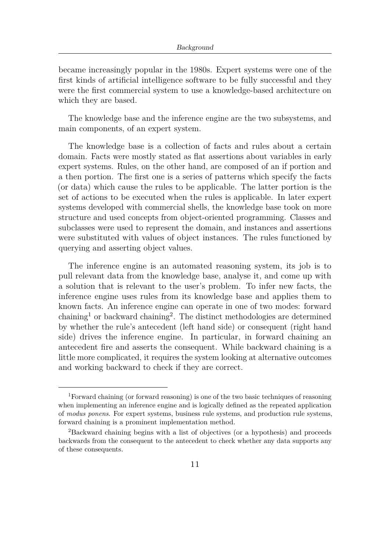became increasingly popular in the 1980s. Expert systems were one of the first kinds of artificial intelligence software to be fully successful and they were the first commercial system to use a knowledge-based architecture on which they are based.

The knowledge base and the inference engine are the two subsystems, and main components, of an expert system.

The knowledge base is a collection of facts and rules about a certain domain. Facts were mostly stated as flat assertions about variables in early expert systems. Rules, on the other hand, are composed of an if portion and a then portion. The first one is a series of patterns which specify the facts (or data) which cause the rules to be applicable. The latter portion is the set of actions to be executed when the rules is applicable. In later expert systems developed with commercial shells, the knowledge base took on more structure and used concepts from object-oriented programming. Classes and subclasses were used to represent the domain, and instances and assertions were substituted with values of object instances. The rules functioned by querying and asserting object values.

The inference engine is an automated reasoning system, its job is to pull relevant data from the knowledge base, analyse it, and come up with a solution that is relevant to the user's problem. To infer new facts, the inference engine uses rules from its knowledge base and applies them to known facts. An inference engine can operate in one of two modes: forward chaining<sup>[1](#page-26-0)</sup> or backward chaining<sup>[2](#page-26-1)</sup>. The distinct methodologies are determined by whether the rule's antecedent (left hand side) or consequent (right hand side) drives the inference engine. In particular, in forward chaining an antecedent fire and asserts the consequent. While backward chaining is a little more complicated, it requires the system looking at alternative outcomes and working backward to check if they are correct.

<span id="page-26-0"></span><sup>1</sup>Forward chaining (or forward reasoning) is one of the two basic techniques of reasoning when implementing an inference engine and is logically defined as the repeated application of *modus ponens*. For expert systems, business rule systems, and production rule systems, forward chaining is a prominent implementation method.

<span id="page-26-1"></span><sup>2</sup>Backward chaining begins with a list of objectives (or a hypothesis) and proceeds backwards from the consequent to the antecedent to check whether any data supports any of these consequents.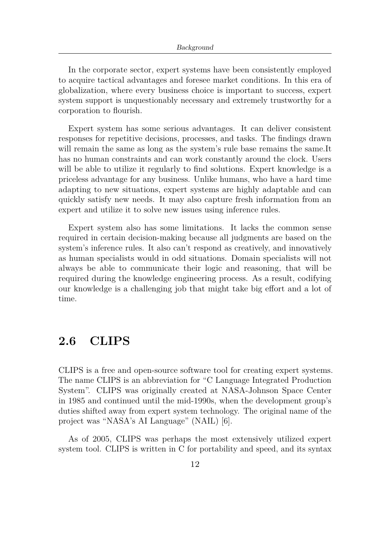In the corporate sector, expert systems have been consistently employed to acquire tactical advantages and foresee market conditions. In this era of globalization, where every business choice is important to success, expert system support is unquestionably necessary and extremely trustworthy for a corporation to flourish.

Expert system has some serious advantages. It can deliver consistent responses for repetitive decisions, processes, and tasks. The findings drawn will remain the same as long as the system's rule base remains the same.It has no human constraints and can work constantly around the clock. Users will be able to utilize it regularly to find solutions. Expert knowledge is a priceless advantage for any business. Unlike humans, who have a hard time adapting to new situations, expert systems are highly adaptable and can quickly satisfy new needs. It may also capture fresh information from an expert and utilize it to solve new issues using inference rules.

Expert system also has some limitations. It lacks the common sense required in certain decision-making because all judgments are based on the system's inference rules. It also can't respond as creatively, and innovatively as human specialists would in odd situations. Domain specialists will not always be able to communicate their logic and reasoning, that will be required during the knowledge engineering process. As a result, codifying our knowledge is a challenging job that might take big effort and a lot of time.

### <span id="page-27-0"></span>**2.6 CLIPS**

CLIPS is a free and open-source software tool for creating expert systems. The name CLIPS is an abbreviation for "C Language Integrated Production System". CLIPS was originally created at NASA-Johnson Space Center in 1985 and continued until the mid-1990s, when the development group's duties shifted away from expert system technology. The original name of the project was "NASA's AI Language" (NAIL) [\[6\]](#page-107-5).

As of 2005, CLIPS was perhaps the most extensively utilized expert system tool. CLIPS is written in C for portability and speed, and its syntax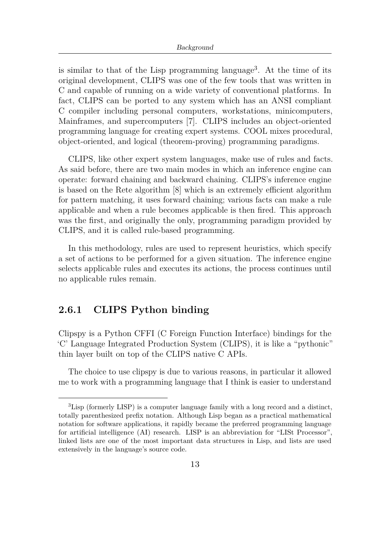is similar to that of the Lisp programming language<sup>[3](#page-28-1)</sup>. At the time of its original development, CLIPS was one of the few tools that was written in C and capable of running on a wide variety of conventional platforms. In fact, CLIPS can be ported to any system which has an ANSI compliant C compiler including personal computers, workstations, minicomputers, Mainframes, and supercomputers [\[7\]](#page-107-6). CLIPS includes an object-oriented programming language for creating expert systems. COOL mixes procedural, object-oriented, and logical (theorem-proving) programming paradigms.

CLIPS, like other expert system languages, make use of rules and facts. As said before, there are two main modes in which an inference engine can operate: forward chaining and backward chaining. CLIPS's inference engine is based on the Rete algorithm [\[8\]](#page-108-0) which is an extremely efficient algorithm for pattern matching, it uses forward chaining; various facts can make a rule applicable and when a rule becomes applicable is then fired. This approach was the first, and originally the only, programming paradigm provided by CLIPS, and it is called rule-based programming.

In this methodology, rules are used to represent heuristics, which specify a set of actions to be performed for a given situation. The inference engine selects applicable rules and executes its actions, the process continues until no applicable rules remain.

#### <span id="page-28-0"></span>**2.6.1 CLIPS Python binding**

Clipspy is a Python CFFI (C Foreign Function Interface) bindings for the 'C' Language Integrated Production System (CLIPS), it is like a "pythonic" thin layer built on top of the CLIPS native C APIs.

The choice to use clipspy is due to various reasons, in particular it allowed me to work with a programming language that I think is easier to understand

<span id="page-28-1"></span><sup>&</sup>lt;sup>3</sup>Lisp (formerly LISP) is a computer language family with a long record and a distinct, totally parenthesized prefix notation. Although Lisp began as a practical mathematical notation for software applications, it rapidly became the preferred programming language for artificial intelligence (AI) research. LISP is an abbreviation for "LISt Processor", linked lists are one of the most important data structures in Lisp, and lists are used extensively in the language's source code.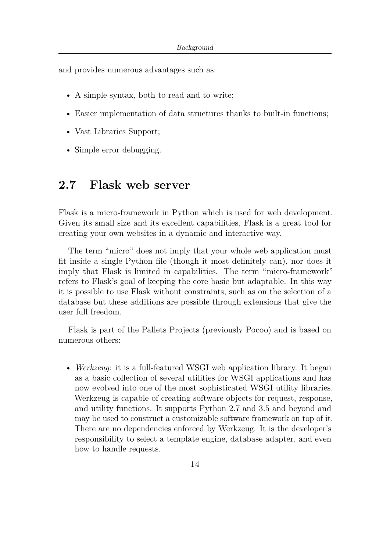and provides numerous advantages such as:

- A simple syntax, both to read and to write;
- Easier implementation of data structures thanks to built-in functions;
- Vast Libraries Support;
- Simple error debugging.

### <span id="page-29-0"></span>**2.7 Flask web server**

Flask is a micro-framework in Python which is used for web development. Given its small size and its excellent capabilities, Flask is a great tool for creating your own websites in a dynamic and interactive way.

The term "micro" does not imply that your whole web application must fit inside a single Python file (though it most definitely can), nor does it imply that Flask is limited in capabilities. The term "micro-framework" refers to Flask's goal of keeping the core basic but adaptable. In this way it is possible to use Flask without constraints, such as on the selection of a database but these additions are possible through extensions that give the user full freedom.

Flask is part of the Pallets Projects (previously Pocoo) and is based on numerous others:

• *Werkzeug*: it is a full-featured WSGI web application library. It began as a basic collection of several utilities for WSGI applications and has now evolved into one of the most sophisticated WSGI utility libraries. Werkzeug is capable of creating software objects for request, response, and utility functions. It supports Python 2.7 and 3.5 and beyond and may be used to construct a customizable software framework on top of it. There are no dependencies enforced by Werkzeug. It is the developer's responsibility to select a template engine, database adapter, and even how to handle requests.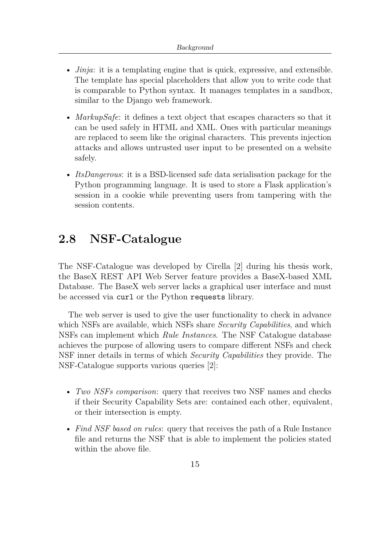- *Jinja*: it is a templating engine that is quick, expressive, and extensible. The template has special placeholders that allow you to write code that is comparable to Python syntax. It manages templates in a sandbox, similar to the Django web framework.
- *MarkupSafe*: it defines a text object that escapes characters so that it can be used safely in HTML and XML. Ones with particular meanings are replaced to seem like the original characters. This prevents injection attacks and allows untrusted user input to be presented on a website safely.
- *ItsDangerous*: it is a BSD-licensed safe data serialisation package for the Python programming language. It is used to store a Flask application's session in a cookie while preventing users from tampering with the session contents.

### <span id="page-30-0"></span>**2.8 NSF-Catalogue**

The NSF-Catalogue was developed by Cirella [\[2\]](#page-107-1) during his thesis work, the BaseX REST API Web Server feature provides a BaseX-based XML Database. The BaseX web server lacks a graphical user interface and must be accessed via curl or the Python requests library.

The web server is used to give the user functionality to check in advance which NSFs are available, which NSFs share *Security Capabilities*, and which NSFs can implement which *Rule Instances*. The NSF Catalogue database achieves the purpose of allowing users to compare different NSFs and check NSF inner details in terms of which *Security Capabilities* they provide. The NSF-Catalogue supports various queries [\[2\]](#page-107-1):

- *Two NSFs comparison*: query that receives two NSF names and checks if their Security Capability Sets are: contained each other, equivalent, or their intersection is empty.
- *Find NSF based on rules*: query that receives the path of a Rule Instance file and returns the NSF that is able to implement the policies stated within the above file.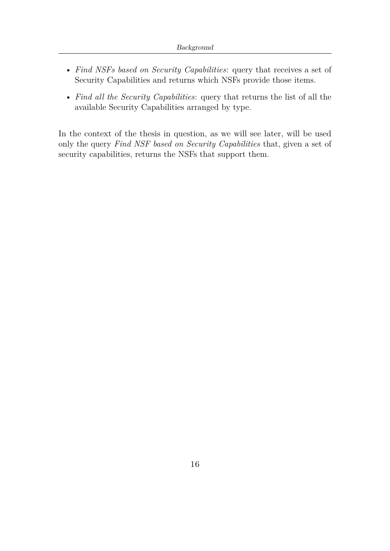- *Find NSFs based on Security Capabilities*: query that receives a set of Security Capabilities and returns which NSFs provide those items.
- *Find all the Security Capabilities*: query that returns the list of all the available Security Capabilities arranged by type.

In the context of the thesis in question, as we will see later, will be used only the query *Find NSF based on Security Capabilities* that, given a set of security capabilities, returns the NSFs that support them.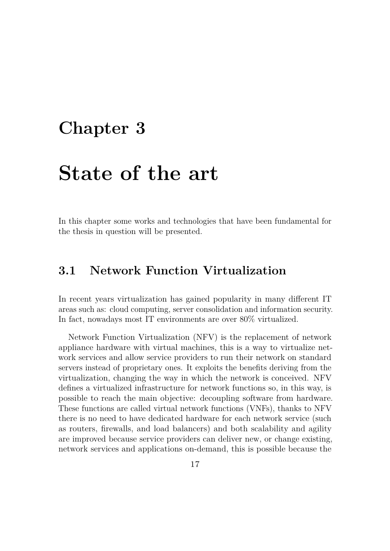## <span id="page-32-0"></span>**Chapter 3**

## **State of the art**

In this chapter some works and technologies that have been fundamental for the thesis in question will be presented.

## <span id="page-32-1"></span>**3.1 Network Function Virtualization**

In recent years virtualization has gained popularity in many different IT areas such as: cloud computing, server consolidation and information security. In fact, nowadays most IT environments are over 80% virtualized.

Network Function Virtualization (NFV) is the replacement of network appliance hardware with virtual machines, this is a way to virtualize network services and allow service providers to run their network on standard servers instead of proprietary ones. It exploits the benefits deriving from the virtualization, changing the way in which the network is conceived. NFV defines a virtualized infrastructure for network functions so, in this way, is possible to reach the main objective: decoupling software from hardware. These functions are called virtual network functions (VNFs), thanks to NFV there is no need to have dedicated hardware for each network service (such as routers, firewalls, and load balancers) and both scalability and agility are improved because service providers can deliver new, or change existing, network services and applications on-demand, this is possible because the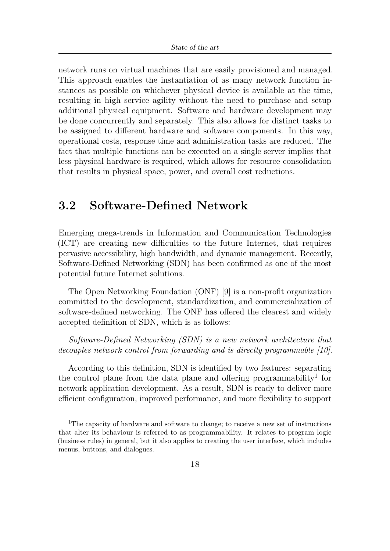network runs on virtual machines that are easily provisioned and managed. This approach enables the instantiation of as many network function instances as possible on whichever physical device is available at the time, resulting in high service agility without the need to purchase and setup additional physical equipment. Software and hardware development may be done concurrently and separately. This also allows for distinct tasks to be assigned to different hardware and software components. In this way, operational costs, response time and administration tasks are reduced. The fact that multiple functions can be executed on a single server implies that less physical hardware is required, which allows for resource consolidation that results in physical space, power, and overall cost reductions.

## <span id="page-33-0"></span>**3.2 Software-Defined Network**

Emerging mega-trends in Information and Communication Technologies (ICT) are creating new difficulties to the future Internet, that requires pervasive accessibility, high bandwidth, and dynamic management. Recently, Software-Defined Networking (SDN) has been confirmed as one of the most potential future Internet solutions.

The Open Networking Foundation (ONF) [\[9\]](#page-108-1) is a non-profit organization committed to the development, standardization, and commercialization of software-defined networking. The ONF has offered the clearest and widely accepted definition of SDN, which is as follows:

*Software-Defined Networking (SDN) is a new network architecture that decouples network control from forwarding and is directly programmable [\[10\]](#page-108-2).*

According to this definition, SDN is identified by two features: separating the control plane from the data plane and offering programmability<sup>[1](#page-33-1)</sup> for network application development. As a result, SDN is ready to deliver more efficient configuration, improved performance, and more flexibility to support

<span id="page-33-1"></span><sup>&</sup>lt;sup>1</sup>The capacity of hardware and software to change; to receive a new set of instructions that alter its behaviour is referred to as programmability. It relates to program logic (business rules) in general, but it also applies to creating the user interface, which includes menus, buttons, and dialogues.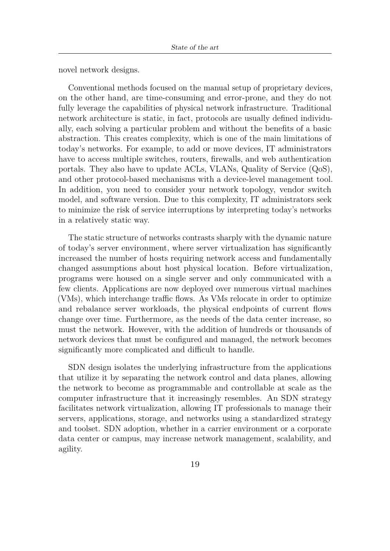novel network designs.

Conventional methods focused on the manual setup of proprietary devices, on the other hand, are time-consuming and error-prone, and they do not fully leverage the capabilities of physical network infrastructure. Traditional network architecture is static, in fact, protocols are usually defined individually, each solving a particular problem and without the benefits of a basic abstraction. This creates complexity, which is one of the main limitations of today's networks. For example, to add or move devices, IT administrators have to access multiple switches, routers, firewalls, and web authentication portals. They also have to update ACLs, VLANs, Quality of Service (QoS), and other protocol-based mechanisms with a device-level management tool. In addition, you need to consider your network topology, vendor switch model, and software version. Due to this complexity, IT administrators seek to minimize the risk of service interruptions by interpreting today's networks in a relatively static way.

The static structure of networks contrasts sharply with the dynamic nature of today's server environment, where server virtualization has significantly increased the number of hosts requiring network access and fundamentally changed assumptions about host physical location. Before virtualization, programs were housed on a single server and only communicated with a few clients. Applications are now deployed over numerous virtual machines (VMs), which interchange traffic flows. As VMs relocate in order to optimize and rebalance server workloads, the physical endpoints of current flows change over time. Furthermore, as the needs of the data center increase, so must the network. However, with the addition of hundreds or thousands of network devices that must be configured and managed, the network becomes significantly more complicated and difficult to handle.

SDN design isolates the underlying infrastructure from the applications that utilize it by separating the network control and data planes, allowing the network to become as programmable and controllable at scale as the computer infrastructure that it increasingly resembles. An SDN strategy facilitates network virtualization, allowing IT professionals to manage their servers, applications, storage, and networks using a standardized strategy and toolset. SDN adoption, whether in a carrier environment or a corporate data center or campus, may increase network management, scalability, and agility.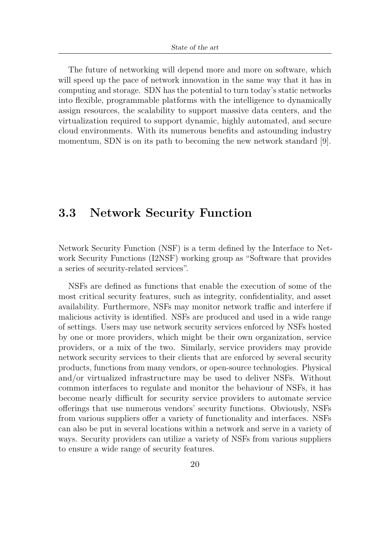The future of networking will depend more and more on software, which will speed up the pace of network innovation in the same way that it has in computing and storage. SDN has the potential to turn today's static networks into flexible, programmable platforms with the intelligence to dynamically assign resources, the scalability to support massive data centers, and the virtualization required to support dynamic, highly automated, and secure cloud environments. With its numerous benefits and astounding industry momentum, SDN is on its path to becoming the new network standard [\[9\]](#page-108-1).

## <span id="page-35-0"></span>**3.3 Network Security Function**

Network Security Function (NSF) is a term defined by the Interface to Network Security Functions (I2NSF) working group as "Software that provides a series of security-related services".

NSFs are defined as functions that enable the execution of some of the most critical security features, such as integrity, confidentiality, and asset availability. Furthermore, NSFs may monitor network traffic and interfere if malicious activity is identified. NSFs are produced and used in a wide range of settings. Users may use network security services enforced by NSFs hosted by one or more providers, which might be their own organization, service providers, or a mix of the two. Similarly, service providers may provide network security services to their clients that are enforced by several security products, functions from many vendors, or open-source technologies. Physical and/or virtualized infrastructure may be used to deliver NSFs. Without common interfaces to regulate and monitor the behaviour of NSFs, it has become nearly difficult for security service providers to automate service offerings that use numerous vendors' security functions. Obviously, NSFs from various suppliers offer a variety of functionality and interfaces. NSFs can also be put in several locations within a network and serve in a variety of ways. Security providers can utilize a variety of NSFs from various suppliers to ensure a wide range of security features.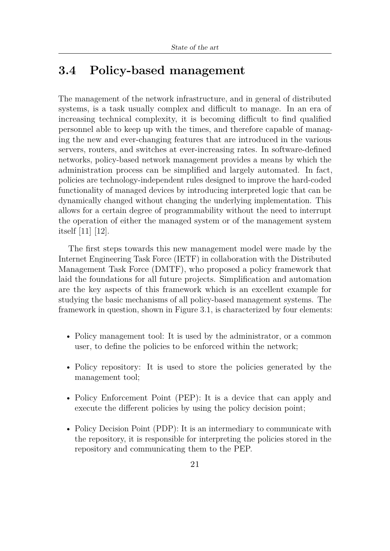## **3.4 Policy-based management**

The management of the network infrastructure, and in general of distributed systems, is a task usually complex and difficult to manage. In an era of increasing technical complexity, it is becoming difficult to find qualified personnel able to keep up with the times, and therefore capable of managing the new and ever-changing features that are introduced in the various servers, routers, and switches at ever-increasing rates. In software-defined networks, policy-based network management provides a means by which the administration process can be simplified and largely automated. In fact, policies are technology-independent rules designed to improve the hard-coded functionality of managed devices by introducing interpreted logic that can be dynamically changed without changing the underlying implementation. This allows for a certain degree of programmability without the need to interrupt the operation of either the managed system or of the management system itself [\[11\]](#page-108-0) [\[12\]](#page-108-1).

The first steps towards this new management model were made by the Internet Engineering Task Force (IETF) in collaboration with the Distributed Management Task Force (DMTF), who proposed a policy framework that laid the foundations for all future projects. Simplification and automation are the key aspects of this framework which is an excellent example for studying the basic mechanisms of all policy-based management systems. The framework in question, shown in Figure [3.1,](#page-37-0) is characterized by four elements:

- Policy management tool: It is used by the administrator, or a common user, to define the policies to be enforced within the network;
- Policy repository: It is used to store the policies generated by the management tool;
- Policy Enforcement Point (PEP): It is a device that can apply and execute the different policies by using the policy decision point;
- Policy Decision Point (PDP): It is an intermediary to communicate with the repository, it is responsible for interpreting the policies stored in the repository and communicating them to the PEP.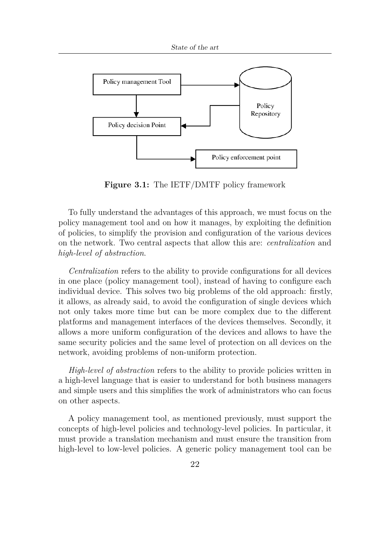<span id="page-37-0"></span>

**Figure 3.1:** The IETF/DMTF policy framework

To fully understand the advantages of this approach, we must focus on the policy management tool and on how it manages, by exploiting the definition of policies, to simplify the provision and configuration of the various devices on the network. Two central aspects that allow this are: *centralization* and *high-level of abstraction*.

*Centralization* refers to the ability to provide configurations for all devices in one place (policy management tool), instead of having to configure each individual device. This solves two big problems of the old approach: firstly, it allows, as already said, to avoid the configuration of single devices which not only takes more time but can be more complex due to the different platforms and management interfaces of the devices themselves. Secondly, it allows a more uniform configuration of the devices and allows to have the same security policies and the same level of protection on all devices on the network, avoiding problems of non-uniform protection.

*High-level of abstraction* refers to the ability to provide policies written in a high-level language that is easier to understand for both business managers and simple users and this simplifies the work of administrators who can focus on other aspects.

A policy management tool, as mentioned previously, must support the concepts of high-level policies and technology-level policies. In particular, it must provide a translation mechanism and must ensure the transition from high-level to low-level policies. A generic policy management tool can be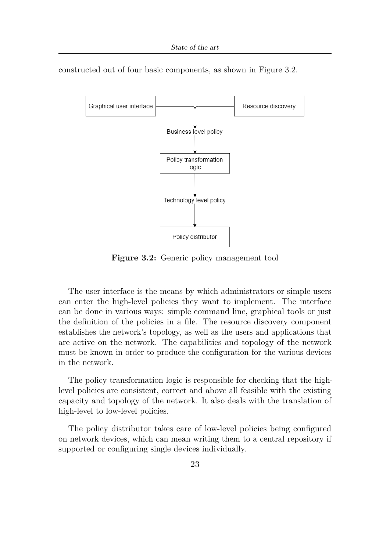constructed out of four basic components, as shown in Figure [3.2.](#page-38-0)

<span id="page-38-0"></span>

**Figure 3.2:** Generic policy management tool

The user interface is the means by which administrators or simple users can enter the high-level policies they want to implement. The interface can be done in various ways: simple command line, graphical tools or just the definition of the policies in a file. The resource discovery component establishes the network's topology, as well as the users and applications that are active on the network. The capabilities and topology of the network must be known in order to produce the configuration for the various devices in the network.

The policy transformation logic is responsible for checking that the highlevel policies are consistent, correct and above all feasible with the existing capacity and topology of the network. It also deals with the translation of high-level to low-level policies.

The policy distributor takes care of low-level policies being configured on network devices, which can mean writing them to a central repository if supported or configuring single devices individually.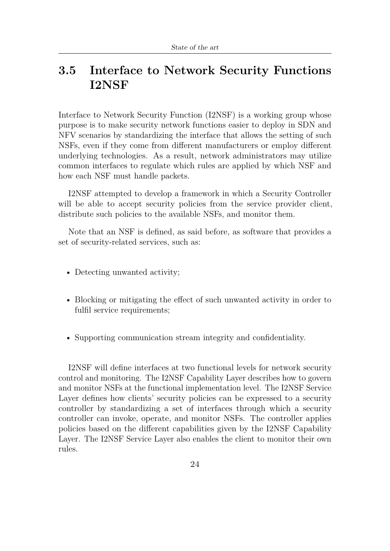## **3.5 Interface to Network Security Functions I2NSF**

Interface to Network Security Function (I2NSF) is a working group whose purpose is to make security network functions easier to deploy in SDN and NFV scenarios by standardizing the interface that allows the setting of such NSFs, even if they come from different manufacturers or employ different underlying technologies. As a result, network administrators may utilize common interfaces to regulate which rules are applied by which NSF and how each NSF must handle packets.

I2NSF attempted to develop a framework in which a Security Controller will be able to accept security policies from the service provider client, distribute such policies to the available NSFs, and monitor them.

Note that an NSF is defined, as said before, as software that provides a set of security-related services, such as:

- Detecting unwanted activity;
- Blocking or mitigating the effect of such unwanted activity in order to fulfil service requirements;
- Supporting communication stream integrity and confidentiality.

I2NSF will define interfaces at two functional levels for network security control and monitoring. The I2NSF Capability Layer describes how to govern and monitor NSFs at the functional implementation level. The I2NSF Service Layer defines how clients' security policies can be expressed to a security controller by standardizing a set of interfaces through which a security controller can invoke, operate, and monitor NSFs. The controller applies policies based on the different capabilities given by the I2NSF Capability Layer. The I2NSF Service Layer also enables the client to monitor their own rules.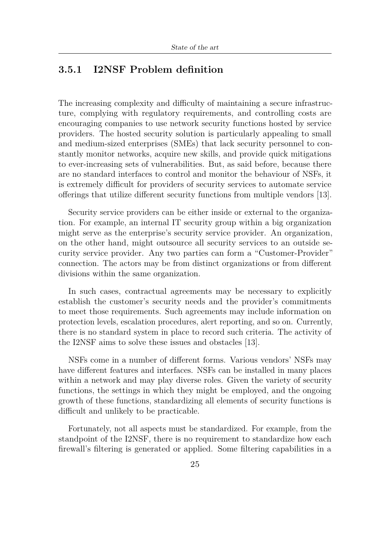### **3.5.1 I2NSF Problem definition**

The increasing complexity and difficulty of maintaining a secure infrastructure, complying with regulatory requirements, and controlling costs are encouraging companies to use network security functions hosted by service providers. The hosted security solution is particularly appealing to small and medium-sized enterprises (SMEs) that lack security personnel to constantly monitor networks, acquire new skills, and provide quick mitigations to ever-increasing sets of vulnerabilities. But, as said before, because there are no standard interfaces to control and monitor the behaviour of NSFs, it is extremely difficult for providers of security services to automate service offerings that utilize different security functions from multiple vendors [\[13\]](#page-108-2).

Security service providers can be either inside or external to the organization. For example, an internal IT security group within a big organization might serve as the enterprise's security service provider. An organization, on the other hand, might outsource all security services to an outside security service provider. Any two parties can form a "Customer-Provider" connection. The actors may be from distinct organizations or from different divisions within the same organization.

In such cases, contractual agreements may be necessary to explicitly establish the customer's security needs and the provider's commitments to meet those requirements. Such agreements may include information on protection levels, escalation procedures, alert reporting, and so on. Currently, there is no standard system in place to record such criteria. The activity of the I2NSF aims to solve these issues and obstacles [\[13\]](#page-108-2).

NSFs come in a number of different forms. Various vendors' NSFs may have different features and interfaces. NSFs can be installed in many places within a network and may play diverse roles. Given the variety of security functions, the settings in which they might be employed, and the ongoing growth of these functions, standardizing all elements of security functions is difficult and unlikely to be practicable.

Fortunately, not all aspects must be standardized. For example, from the standpoint of the I2NSF, there is no requirement to standardize how each firewall's filtering is generated or applied. Some filtering capabilities in a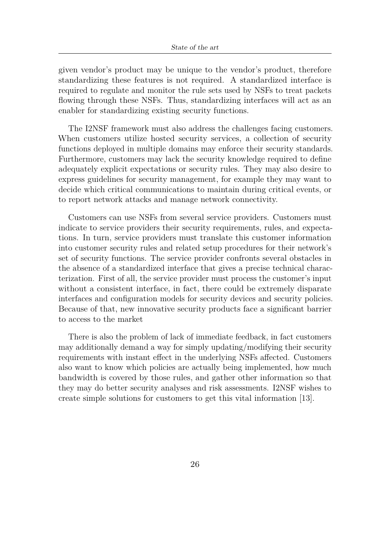given vendor's product may be unique to the vendor's product, therefore standardizing these features is not required. A standardized interface is required to regulate and monitor the rule sets used by NSFs to treat packets flowing through these NSFs. Thus, standardizing interfaces will act as an enabler for standardizing existing security functions.

The I2NSF framework must also address the challenges facing customers. When customers utilize hosted security services, a collection of security functions deployed in multiple domains may enforce their security standards. Furthermore, customers may lack the security knowledge required to define adequately explicit expectations or security rules. They may also desire to express guidelines for security management, for example they may want to decide which critical communications to maintain during critical events, or to report network attacks and manage network connectivity.

Customers can use NSFs from several service providers. Customers must indicate to service providers their security requirements, rules, and expectations. In turn, service providers must translate this customer information into customer security rules and related setup procedures for their network's set of security functions. The service provider confronts several obstacles in the absence of a standardized interface that gives a precise technical characterization. First of all, the service provider must process the customer's input without a consistent interface, in fact, there could be extremely disparate interfaces and configuration models for security devices and security policies. Because of that, new innovative security products face a significant barrier to access to the market

There is also the problem of lack of immediate feedback, in fact customers may additionally demand a way for simply updating/modifying their security requirements with instant effect in the underlying NSFs affected. Customers also want to know which policies are actually being implemented, how much bandwidth is covered by those rules, and gather other information so that they may do better security analyses and risk assessments. I2NSF wishes to create simple solutions for customers to get this vital information [\[13\]](#page-108-2).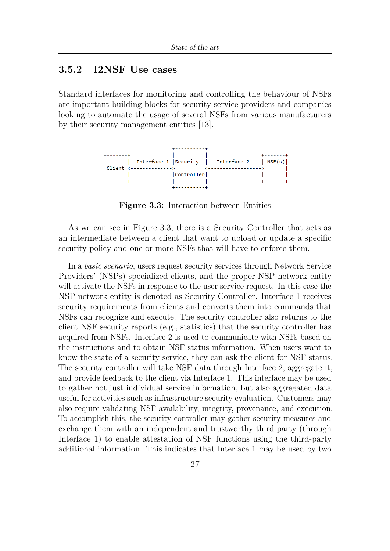### **3.5.2 I2NSF Use cases**

Standard interfaces for monitoring and controlling the behaviour of NSFs are important building blocks for security service providers and companies looking to automate the usage of several NSFs from various manufacturers by their security management entities [\[13\]](#page-108-2).

<span id="page-42-0"></span>

**Figure 3.3:** Interaction between Entities

As we can see in Figure [3.3,](#page-42-0) there is a Security Controller that acts as an intermediate between a client that want to upload or update a specific security policy and one or more NSFs that will have to enforce them.

In a *basic scenario*, users request security services through Network Service Providers' (NSPs) specialized clients, and the proper NSP network entity will activate the NSFs in response to the user service request. In this case the NSP network entity is denoted as Security Controller. Interface 1 receives security requirements from clients and converts them into commands that NSFs can recognize and execute. The security controller also returns to the client NSF security reports (e.g., statistics) that the security controller has acquired from NSFs. Interface 2 is used to communicate with NSFs based on the instructions and to obtain NSF status information. When users want to know the state of a security service, they can ask the client for NSF status. The security controller will take NSF data through Interface 2, aggregate it, and provide feedback to the client via Interface 1. This interface may be used to gather not just individual service information, but also aggregated data useful for activities such as infrastructure security evaluation. Customers may also require validating NSF availability, integrity, provenance, and execution. To accomplish this, the security controller may gather security measures and exchange them with an independent and trustworthy third party (through Interface 1) to enable attestation of NSF functions using the third-party additional information. This indicates that Interface 1 may be used by two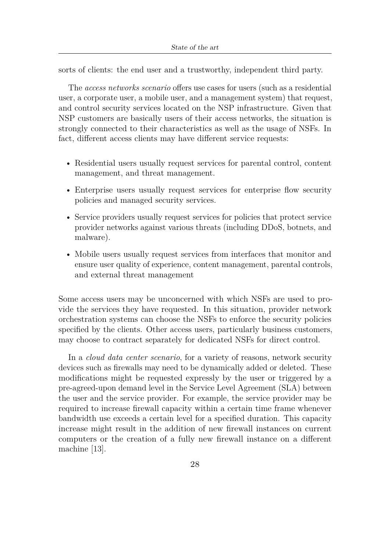sorts of clients: the end user and a trustworthy, independent third party.

The *access networks scenario* offers use cases for users (such as a residential user, a corporate user, a mobile user, and a management system) that request, and control security services located on the NSP infrastructure. Given that NSP customers are basically users of their access networks, the situation is strongly connected to their characteristics as well as the usage of NSFs. In fact, different access clients may have different service requests:

- Residential users usually request services for parental control, content management, and threat management.
- Enterprise users usually request services for enterprise flow security policies and managed security services.
- Service providers usually request services for policies that protect service provider networks against various threats (including DDoS, botnets, and malware).
- Mobile users usually request services from interfaces that monitor and ensure user quality of experience, content management, parental controls, and external threat management

Some access users may be unconcerned with which NSFs are used to provide the services they have requested. In this situation, provider network orchestration systems can choose the NSFs to enforce the security policies specified by the clients. Other access users, particularly business customers, may choose to contract separately for dedicated NSFs for direct control.

In a *cloud data center scenario*, for a variety of reasons, network security devices such as firewalls may need to be dynamically added or deleted. These modifications might be requested expressly by the user or triggered by a pre-agreed-upon demand level in the Service Level Agreement (SLA) between the user and the service provider. For example, the service provider may be required to increase firewall capacity within a certain time frame whenever bandwidth use exceeds a certain level for a specified duration. This capacity increase might result in the addition of new firewall instances on current computers or the creation of a fully new firewall instance on a different machine [\[13\]](#page-108-2).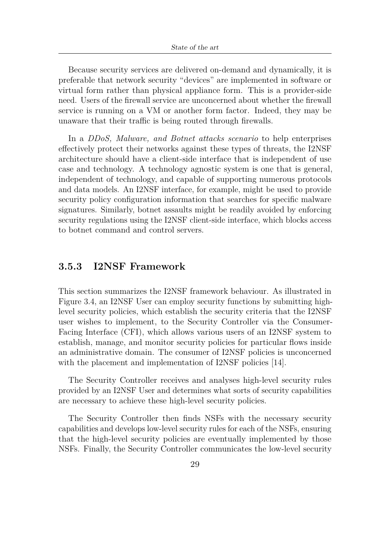Because security services are delivered on-demand and dynamically, it is preferable that network security "devices" are implemented in software or virtual form rather than physical appliance form. This is a provider-side need. Users of the firewall service are unconcerned about whether the firewall service is running on a VM or another form factor. Indeed, they may be unaware that their traffic is being routed through firewalls.

In a *DDoS, Malware, and Botnet attacks scenario* to help enterprises effectively protect their networks against these types of threats, the I2NSF architecture should have a client-side interface that is independent of use case and technology. A technology agnostic system is one that is general, independent of technology, and capable of supporting numerous protocols and data models. An I2NSF interface, for example, might be used to provide security policy configuration information that searches for specific malware signatures. Similarly, botnet assaults might be readily avoided by enforcing security regulations using the I2NSF client-side interface, which blocks access to botnet command and control servers.

### **3.5.3 I2NSF Framework**

This section summarizes the I2NSF framework behaviour. As illustrated in Figure [3.4,](#page-45-0) an I2NSF User can employ security functions by submitting highlevel security policies, which establish the security criteria that the I2NSF user wishes to implement, to the Security Controller via the Consumer-Facing Interface (CFI), which allows various users of an I2NSF system to establish, manage, and monitor security policies for particular flows inside an administrative domain. The consumer of I2NSF policies is unconcerned with the placement and implementation of I2NSF policies [\[14\]](#page-108-3).

The Security Controller receives and analyses high-level security rules provided by an I2NSF User and determines what sorts of security capabilities are necessary to achieve these high-level security policies.

The Security Controller then finds NSFs with the necessary security capabilities and develops low-level security rules for each of the NSFs, ensuring that the high-level security policies are eventually implemented by those NSFs. Finally, the Security Controller communicates the low-level security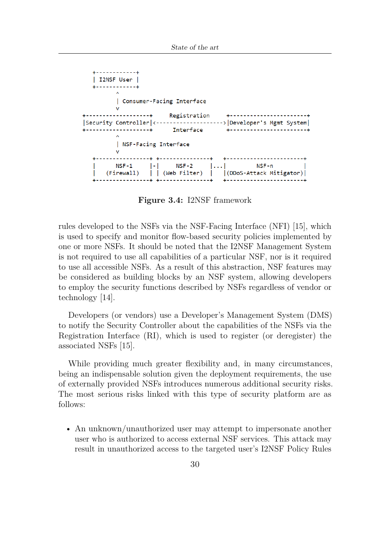<span id="page-45-0"></span>

**Figure 3.4:** I2NSF framework

rules developed to the NSFs via the NSF-Facing Interface (NFI) [\[15\]](#page-108-4), which is used to specify and monitor flow-based security policies implemented by one or more NSFs. It should be noted that the I2NSF Management System is not required to use all capabilities of a particular NSF, nor is it required to use all accessible NSFs. As a result of this abstraction, NSF features may be considered as building blocks by an NSF system, allowing developers to employ the security functions described by NSFs regardless of vendor or technology [\[14\]](#page-108-3).

Developers (or vendors) use a Developer's Management System (DMS) to notify the Security Controller about the capabilities of the NSFs via the Registration Interface (RI), which is used to register (or deregister) the associated NSFs [\[15\]](#page-108-4).

While providing much greater flexibility and, in many circumstances, being an indispensable solution given the deployment requirements, the use of externally provided NSFs introduces numerous additional security risks. The most serious risks linked with this type of security platform are as follows:

• An unknown/unauthorized user may attempt to impersonate another user who is authorized to access external NSF services. This attack may result in unauthorized access to the targeted user's I2NSF Policy Rules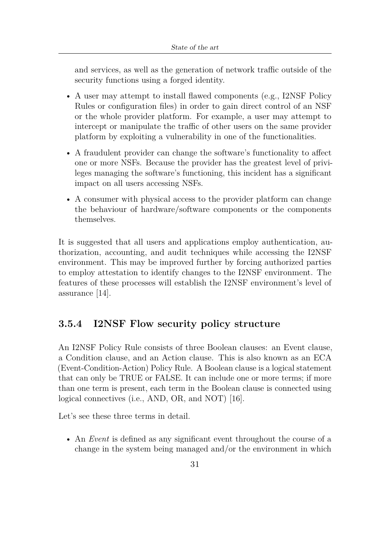and services, as well as the generation of network traffic outside of the security functions using a forged identity.

- A user may attempt to install flawed components (e.g., I2NSF Policy Rules or configuration files) in order to gain direct control of an NSF or the whole provider platform. For example, a user may attempt to intercept or manipulate the traffic of other users on the same provider platform by exploiting a vulnerability in one of the functionalities.
- A fraudulent provider can change the software's functionality to affect one or more NSFs. Because the provider has the greatest level of privileges managing the software's functioning, this incident has a significant impact on all users accessing NSFs.
- A consumer with physical access to the provider platform can change the behaviour of hardware/software components or the components themselves.

It is suggested that all users and applications employ authentication, authorization, accounting, and audit techniques while accessing the I2NSF environment. This may be improved further by forcing authorized parties to employ attestation to identify changes to the I2NSF environment. The features of these processes will establish the I2NSF environment's level of assurance [\[14\]](#page-108-3).

### **3.5.4 I2NSF Flow security policy structure**

An I2NSF Policy Rule consists of three Boolean clauses: an Event clause, a Condition clause, and an Action clause. This is also known as an ECA (Event-Condition-Action) Policy Rule. A Boolean clause is a logical statement that can only be TRUE or FALSE. It can include one or more terms; if more than one term is present, each term in the Boolean clause is connected using logical connectives (i.e., AND, OR, and NOT) [\[16\]](#page-108-5).

Let's see these three terms in detail.

• An *Event* is defined as any significant event throughout the course of a change in the system being managed and/or the environment in which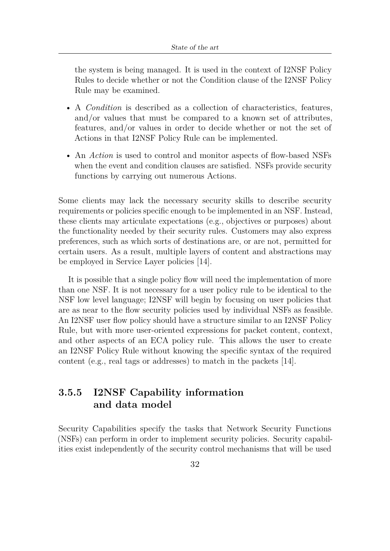the system is being managed. It is used in the context of I2NSF Policy Rules to decide whether or not the Condition clause of the I2NSF Policy Rule may be examined.

- A *Condition* is described as a collection of characteristics, features, and/or values that must be compared to a known set of attributes, features, and/or values in order to decide whether or not the set of Actions in that I2NSF Policy Rule can be implemented.
- An *Action* is used to control and monitor aspects of flow-based NSFs when the event and condition clauses are satisfied. NSFs provide security functions by carrying out numerous Actions.

Some clients may lack the necessary security skills to describe security requirements or policies specific enough to be implemented in an NSF. Instead, these clients may articulate expectations (e.g., objectives or purposes) about the functionality needed by their security rules. Customers may also express preferences, such as which sorts of destinations are, or are not, permitted for certain users. As a result, multiple layers of content and abstractions may be employed in Service Layer policies [\[14\]](#page-108-3).

It is possible that a single policy flow will need the implementation of more than one NSF. It is not necessary for a user policy rule to be identical to the NSF low level language; I2NSF will begin by focusing on user policies that are as near to the flow security policies used by individual NSFs as feasible. An I2NSF user flow policy should have a structure similar to an I2NSF Policy Rule, but with more user-oriented expressions for packet content, context, and other aspects of an ECA policy rule. This allows the user to create an I2NSF Policy Rule without knowing the specific syntax of the required content (e.g., real tags or addresses) to match in the packets [\[14\]](#page-108-3).

### **3.5.5 I2NSF Capability information and data model**

Security Capabilities specify the tasks that Network Security Functions (NSFs) can perform in order to implement security policies. Security capabilities exist independently of the security control mechanisms that will be used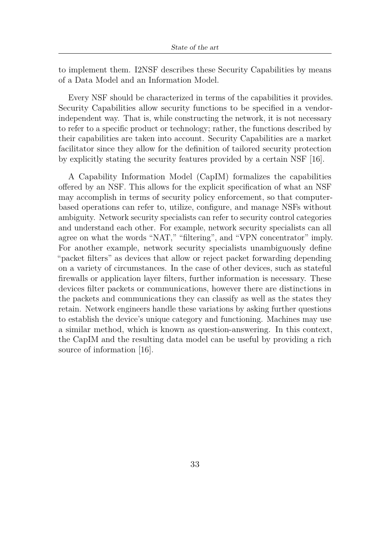to implement them. I2NSF describes these Security Capabilities by means of a Data Model and an Information Model.

Every NSF should be characterized in terms of the capabilities it provides. Security Capabilities allow security functions to be specified in a vendorindependent way. That is, while constructing the network, it is not necessary to refer to a specific product or technology; rather, the functions described by their capabilities are taken into account. Security Capabilities are a market facilitator since they allow for the definition of tailored security protection by explicitly stating the security features provided by a certain NSF [\[16\]](#page-108-5).

A Capability Information Model (CapIM) formalizes the capabilities offered by an NSF. This allows for the explicit specification of what an NSF may accomplish in terms of security policy enforcement, so that computerbased operations can refer to, utilize, configure, and manage NSFs without ambiguity. Network security specialists can refer to security control categories and understand each other. For example, network security specialists can all agree on what the words "NAT," "filtering", and "VPN concentrator" imply. For another example, network security specialists unambiguously define "packet filters" as devices that allow or reject packet forwarding depending on a variety of circumstances. In the case of other devices, such as stateful firewalls or application layer filters, further information is necessary. These devices filter packets or communications, however there are distinctions in the packets and communications they can classify as well as the states they retain. Network engineers handle these variations by asking further questions to establish the device's unique category and functioning. Machines may use a similar method, which is known as question-answering. In this context, the CapIM and the resulting data model can be useful by providing a rich source of information [\[16\]](#page-108-5).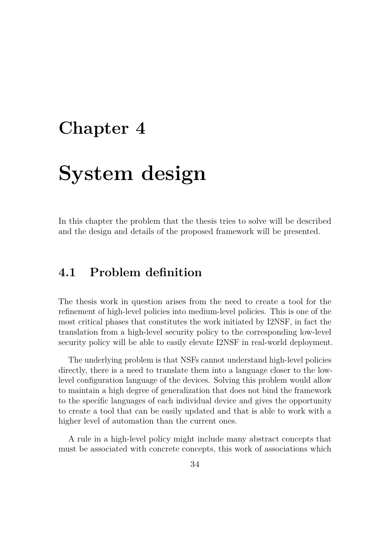## **Chapter 4**

# **System design**

In this chapter the problem that the thesis tries to solve will be described and the design and details of the proposed framework will be presented.

## **4.1 Problem definition**

The thesis work in question arises from the need to create a tool for the refinement of high-level policies into medium-level policies. This is one of the most critical phases that constitutes the work initiated by I2NSF, in fact the translation from a high-level security policy to the corresponding low-level security policy will be able to easily elevate I2NSF in real-world deployment.

The underlying problem is that NSFs cannot understand high-level policies directly, there is a need to translate them into a language closer to the lowlevel configuration language of the devices. Solving this problem would allow to maintain a high degree of generalization that does not bind the framework to the specific languages of each individual device and gives the opportunity to create a tool that can be easily updated and that is able to work with a higher level of automation than the current ones.

A rule in a high-level policy might include many abstract concepts that must be associated with concrete concepts, this work of associations which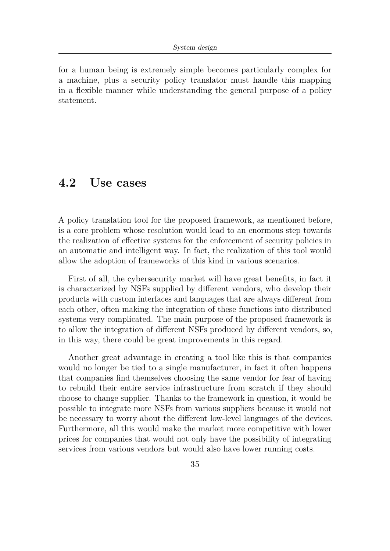for a human being is extremely simple becomes particularly complex for a machine, plus a security policy translator must handle this mapping in a flexible manner while understanding the general purpose of a policy statement.

## **4.2 Use cases**

A policy translation tool for the proposed framework, as mentioned before, is a core problem whose resolution would lead to an enormous step towards the realization of effective systems for the enforcement of security policies in an automatic and intelligent way. In fact, the realization of this tool would allow the adoption of frameworks of this kind in various scenarios.

First of all, the cybersecurity market will have great benefits, in fact it is characterized by NSFs supplied by different vendors, who develop their products with custom interfaces and languages that are always different from each other, often making the integration of these functions into distributed systems very complicated. The main purpose of the proposed framework is to allow the integration of different NSFs produced by different vendors, so, in this way, there could be great improvements in this regard.

Another great advantage in creating a tool like this is that companies would no longer be tied to a single manufacturer, in fact it often happens that companies find themselves choosing the same vendor for fear of having to rebuild their entire service infrastructure from scratch if they should choose to change supplier. Thanks to the framework in question, it would be possible to integrate more NSFs from various suppliers because it would not be necessary to worry about the different low-level languages of the devices. Furthermore, all this would make the market more competitive with lower prices for companies that would not only have the possibility of integrating services from various vendors but would also have lower running costs.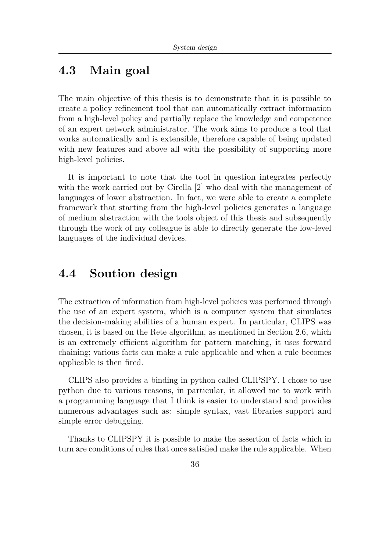## **4.3 Main goal**

The main objective of this thesis is to demonstrate that it is possible to create a policy refinement tool that can automatically extract information from a high-level policy and partially replace the knowledge and competence of an expert network administrator. The work aims to produce a tool that works automatically and is extensible, therefore capable of being updated with new features and above all with the possibility of supporting more high-level policies.

It is important to note that the tool in question integrates perfectly with the work carried out by Cirella [\[2\]](#page-107-0) who deal with the management of languages of lower abstraction. In fact, we were able to create a complete framework that starting from the high-level policies generates a language of medium abstraction with the tools object of this thesis and subsequently through the work of my colleague is able to directly generate the low-level languages of the individual devices.

## **4.4 Soution design**

The extraction of information from high-level policies was performed through the use of an expert system, which is a computer system that simulates the decision-making abilities of a human expert. In particular, CLIPS was chosen, it is based on the Rete algorithm, as mentioned in Section [2.6,](#page-27-0) which is an extremely efficient algorithm for pattern matching, it uses forward chaining; various facts can make a rule applicable and when a rule becomes applicable is then fired.

CLIPS also provides a binding in python called CLIPSPY. I chose to use python due to various reasons, in particular, it allowed me to work with a programming language that I think is easier to understand and provides numerous advantages such as: simple syntax, vast libraries support and simple error debugging.

Thanks to CLIPSPY it is possible to make the assertion of facts which in turn are conditions of rules that once satisfied make the rule applicable. When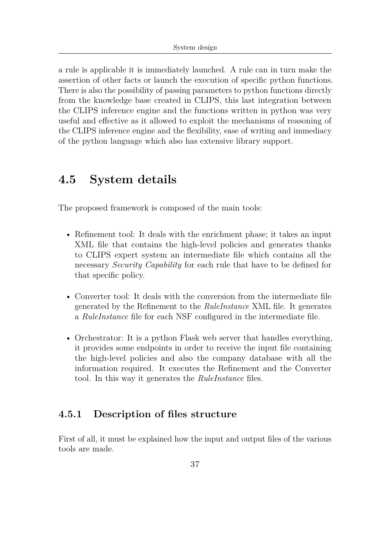a rule is applicable it is immediately launched. A rule can in turn make the assertion of other facts or launch the execution of specific python functions. There is also the possibility of passing parameters to python functions directly from the knowledge base created in CLIPS, this last integration between the CLIPS inference engine and the functions written in python was very useful and effective as it allowed to exploit the mechanisms of reasoning of the CLIPS inference engine and the flexibility, ease of writing and immediacy of the python language which also has extensive library support.

## <span id="page-52-0"></span>**4.5 System details**

The proposed framework is composed of the main tools:

- Refinement tool: It deals with the enrichment phase; it takes an input XML file that contains the high-level policies and generates thanks to CLIPS expert system an intermediate file which contains all the necessary *Security Capability* for each rule that have to be defined for that specific policy.
- Converter tool: It deals with the conversion from the intermediate file generated by the Refinement to the *RuleInstance* XML file. It generates a *RuleInstance* file for each NSF configured in the intermediate file.
- Orchestrator: It is a python Flask web server that handles everything, it provides some endpoints in order to receive the input file containing the high-level policies and also the company database with all the information required. It executes the Refinement and the Converter tool. In this way it generates the *RuleInstance* files.

### **4.5.1 Description of files structure**

First of all, it must be explained how the input and output files of the various tools are made.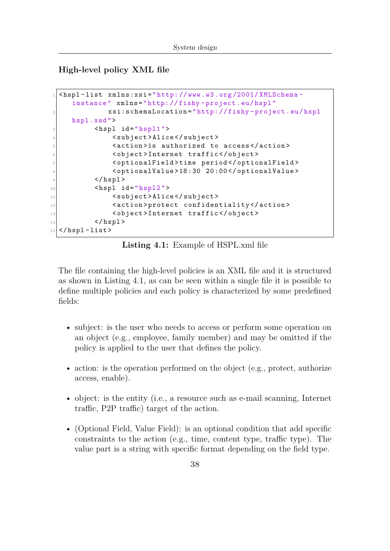**High-level policy XML file**

```
1 < hspl - list xmlns:xsi =" http: // www .w3.org /2001/ XMLSchema -
    instance " xmlns =" http: // fishy - project .eu/ hspl "
             2 xsi:schemaLocation =" http: // fishy - project .eu/ hspl
    hspl .xsd ">
         <hspl id = " hspl1 ">
              4 < subject > Alice </ subject >
5 < action > is authorized to access </ action >
6 < object > Internet traffic </ object >
7 < optionalField > time period </ optionalField >
8 < optionalValue > 18 :30 20 :00 </ optionalValue >
9 \langle hspl>
10 \langlehspl id="hspl2">
11 <subject>Alice</subject>
12 < action > protect confidentiality </ action >
13 <object>Internet traffic</object>
_{14} </hspl>
15 </hspl-list>
```
**Listing 4.1:** Example of HSPL.xml file

The file containing the high-level policies is an XML file and it is structured as shown in Listing [4.1,](#page-53-0) as can be seen within a single file it is possible to define multiple policies and each policy is characterized by some predefined fields:

- subject: is the user who needs to access or perform some operation on an object (e.g., employee, family member) and may be omitted if the policy is applied to the user that defines the policy.
- action: is the operation performed on the object (e.g., protect, authorize access, enable).
- object: is the entity (i.e., a resource such as e-mail scanning, Internet traffic, P2P traffic) target of the action.
- (Optional Field, Value Field): is an optional condition that add specific constraints to the action (e.g., time, content type, traffic type). The value part is a string with specific format depending on the field type.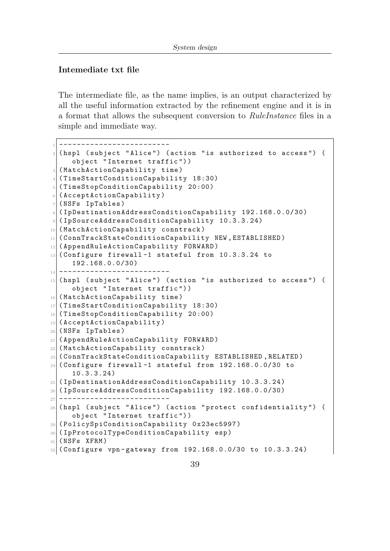#### **Intemediate txt file**

The intermediate file, as the name implies, is an output characterized by all the useful information extracted by the refinement engine and it is in a format that allows the subsequent conversion to *RuleInstance* files in a simple and immediate way.

```
1 ------------------------
  (hspl (subject "Alice") (action "is authorized to access") (
     object " Internet traffic ") )
3 ( MatchActionCapability time )
4 ( TimeStartConditionCapability 18:30)
5 ( TimeStopConditionCapability 20:00)
6 (AcceptActionCapability)
7 (NSFs IpTables)
8 ( IpDestinationAddressConditionCapability 192.168.0.0/30)
9 ( IpSourceAddressConditionCapability 10.3.3.24)
10 (MatchActionCapability conntrack)
11 (ConnTrackStateConditionCapability NEW, ESTABLISHED)
12 (AppendRuleActionCapability FORWARD)
_{13} (Configure firewall-1 stateful from 10.3.3.24 to
     192.168.0.0/30)
\vert a \vert -----------------
_{15} (hspl (subject "Alice") (action "is authorized to access") (
     object " Internet traffic ") )
16 (MatchActionCapability time)
17 (TimeStartConditionCapability 18:30)
18 ( TimeStopConditionCapability 20:00)
19 ( AcceptActionCapability )
20 ( NSFs IpTables )
21 ( AppendRuleActionCapability FORWARD )
22 (MatchActionCapability conntrack)
23 ( ConnTrackStateConditionCapability ESTABLISHED , RELATED )
24 ( Configure firewall -1 stateful from 192.168.0.0/30 to
     10.3.3.24)
25 ( IpDestinationAddressConditionCapability 10.3.3.24)
26 ( IpSourceAddressConditionCapability 192.168.0.0/30)
27 -------------------------
28 (hspl (subject "Alice") (action "protect confidentiality") (
     object " Internet traffic ") )
29 ( PolicySpiConditionCapability 0 x23ec5997 )
30 (IpProtocolTypeConditionCapability esp)
_{31} (NSFs XFRM)
32 (Configure vpn-gateway from 192.168.0.0/30 to 10.3.3.24)
```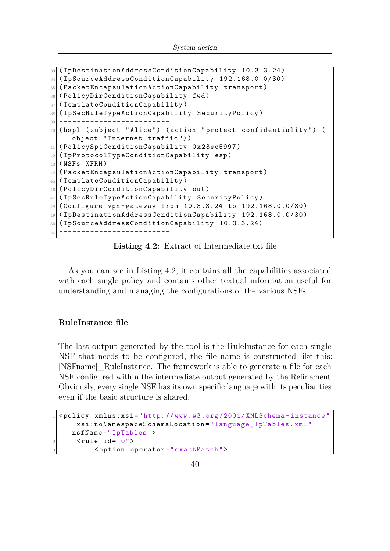```
33 (IpDestinationAddressConditionCapability 10.3.3.24)
34 ( IpSourceAddressConditionCapability 192.168.0.0/30)
35 ( PacketEncapsulationActionCapability transport )
36 (PolicyDirConditionCapability fwd)
37 (TemplateConditionCapability)
38 ( IpSecRuleTypeActionCapability SecurityPolicy )
39 -------------------------
40 ( hspl ( subject " Alice ") ( action " protect confidentiality ") (
     object " Internet traffic ") )
41 (PolicySpiConditionCapability 0x23ec5997)
42 ( IpProtocolTypeConditionCapability esp )
43 ( NSFs XFRM )
44 ( PacketEncapsulationActionCapability transport )
45 ( TemplateConditionCapability )
46 (PolicyDirConditionCapability out)
47 ( IpSecRuleTypeActionCapability SecurityPolicy )
48 (Configure vpn-gateway from 10.3.3.24 to 192.168.0.0/30)
49 ( IpDestinationAddressConditionCapability 192.168.0.0/30)
50 ( IpSourceAddressConditionCapability 10.3.3.24)
51 -------------------------
```
**Listing 4.2:** Extract of Intermediate.txt file

As you can see in Listing [4.2,](#page-54-0) it contains all the capabilities associated with each single policy and contains other textual information useful for understanding and managing the configurations of the various NSFs.

#### **RuleInstance file**

The last output generated by the tool is the RuleInstance for each single NSF that needs to be configured, the file name is constructed like this: [NSFname]\_RuleInstance. The framework is able to generate a file for each NSF configured within the intermediate output generated by the Refinement. Obviously, every single NSF has its own specific language with its peculiarities even if the basic structure is shared.

```
1 < policy xmlns:xsi =" http: // www .w3.org /2001/ XMLSchema - instance "
     xsi:noNamespaceSchemaLocation =" language_IpTables . xml"
    nsfName =" IpTables ">
      \langle \texttt{rule}~\texttt{ide}~\texttt{ide}^{-\texttt{w}} \, \texttt{0} \rangle3 < option operator =" exactMatch ">
```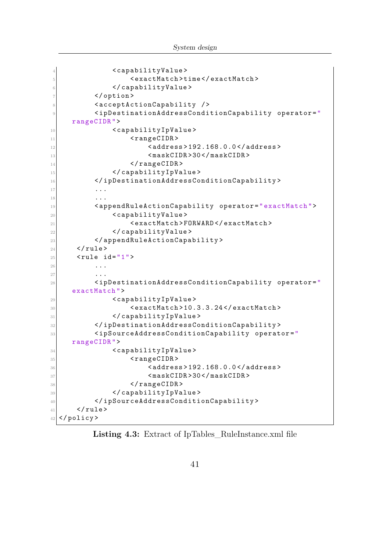```
4 <capabilityValue>
5 < exactMatch > time </ exactMatch >
6 </capabilityValue>
7 \sim / option >
8 <acceptActionCapability />
9 <ipDestinationAddressConditionCapability operator="
   rangeCIDR ">
10 < capabilityIpValue>
11 < rangeCIDR>
12 <address>192.168.0.0</address>
13 Example 2018 <maskCIDR>30</maskCIDR>
14 </rangeCIDR>
15 </ capabilityIpValue>
16 </ipDestinationAddressConditionCapability>
17 ...
18 ...
19 < appendRuleActionCapability operator =" exactMatch ">
20 <capabilityValue>
21 < exactMatch > FORWARD </ exactMatch >
22 </capabilityValue>
23 </appendRuleActionCapability>
_{24} </rule>
_{25} <rule id="1">
26 ...
27 ...
28 <ipDestinationAddressConditionCapability operator="
   exactMatch ">
29 < capabilityIpValue>
30 < exactMatch > 10.3.3.24 </ exactMatch >
31 </ capability IpValue>
32 </ ipDestinationAddressConditionCapability >
33 < ipSourceAddressConditionCapability operator ="
   rangeCIDR ">
34 < capabilityIpValue>
35 < rangeCIDR >
36 < address > 192.168.0.0 </ address >
37 < maskCIDR > 30 </ maskCIDR >
38 </rangeCIDR>
39 </capabilityIpValue>
40 </ ipSourceAddressConditionCapability >
_{41} </rule>
42 \mid </policy>
```
Listing 4.3: Extract of IpTables RuleInstance.xml file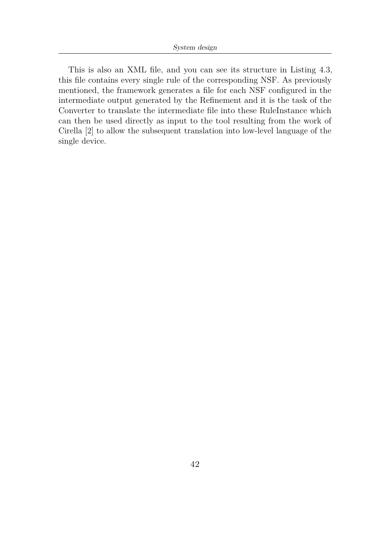This is also an XML file, and you can see its structure in Listing [4.3,](#page-55-0) this file contains every single rule of the corresponding NSF. As previously mentioned, the framework generates a file for each NSF configured in the intermediate output generated by the Refinement and it is the task of the Converter to translate the intermediate file into these RuleInstance which can then be used directly as input to the tool resulting from the work of Cirella [\[2\]](#page-107-0) to allow the subsequent translation into low-level language of the single device.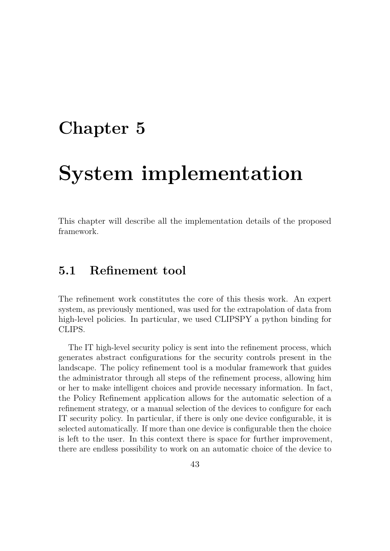## **Chapter 5**

# **System implementation**

This chapter will describe all the implementation details of the proposed framework.

## <span id="page-58-0"></span>**5.1 Refinement tool**

The refinement work constitutes the core of this thesis work. An expert system, as previously mentioned, was used for the extrapolation of data from high-level policies. In particular, we used CLIPSPY a python binding for CLIPS.

The IT high-level security policy is sent into the refinement process, which generates abstract configurations for the security controls present in the landscape. The policy refinement tool is a modular framework that guides the administrator through all steps of the refinement process, allowing him or her to make intelligent choices and provide necessary information. In fact, the Policy Refinement application allows for the automatic selection of a refinement strategy, or a manual selection of the devices to configure for each IT security policy. In particular, if there is only one device configurable, it is selected automatically. If more than one device is configurable then the choice is left to the user. In this context there is space for further improvement, there are endless possibility to work on an automatic choice of the device to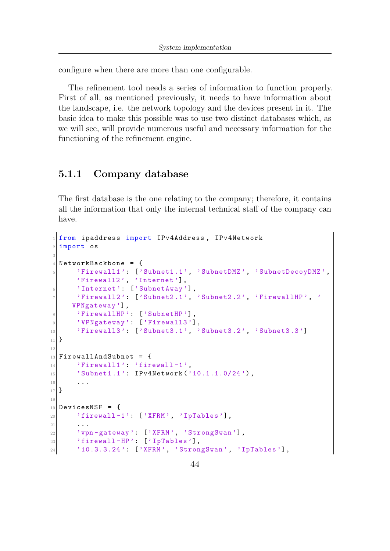configure when there are more than one configurable.

The refinement tool needs a series of information to function properly. First of all, as mentioned previously, it needs to have information about the landscape, i.e. the network topology and the devices present in it. The basic idea to make this possible was to use two distinct databases which, as we will see, will provide numerous useful and necessary information for the functioning of the refinement engine.

### **5.1.1 Company database**

The first database is the one relating to the company; therefore, it contains all the information that only the internal technical staff of the company can have.

```
from ipaddress import IPv4Address, IPv4Network
  import os
3
  NetworkBackbone = {5 'Firewall1 ': ['Subnet1 .1 ', 'SubnetDMZ ', ' SubnetDecoyDMZ ',
       'Firewall2', 'Internet'],
6 'Internet': ['SubnetAway'],
       'Firewall2': ['Subnet2.1', 'Subnet2.2', 'FirewallHP', '
     VPNgateway '] ,
       'FirewallHP': ['SubnetHP'],
9 'VPNgateway': ['Firewall3'],
10 'Firewall3': ['Subnet3.1', 'Subnet3.2', 'Subnet3.3']
_{11} }
12
_{13} FirewallAndSubnet = {
\begin{array}{ccc} \text{14} & \text{?} \end{array} 'Firewall1': 'firewall-1',
15 'Subnet1.1': IPv4Network ('10.1.1.0/24'),
16 ...
_{17} }
18
_{19} DevicesNSF = {
20 \vert 'firewall-1': ['XFRM', 'IpTables'],
21 \vert \cdot \vert \cdot \vert22 'vpn-gateway': ['XFRM', 'StrongSwan'],
23 \vert 'firewall-HP': ['IpTables'],
\begin{bmatrix} 24 \end{bmatrix} '10.3.3.24': ['XFRM', 'StrongSwan', 'IpTables'],
```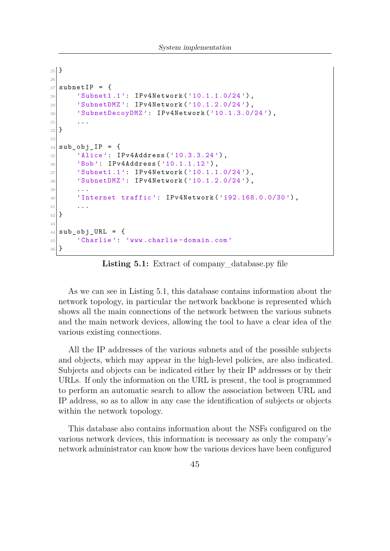```
25 }
26
27 subnet IP = {
28 'Subnet1.1': IPv4Network ('10.1.1.0/24'),
29 'SubnetDMZ': IPv4Network ('10.1.2.0/24'),
30 'SubnetDecoyDMZ': IPv4Network ('10.1.3.0/24'),
31 ...
32 }
33
34 \mid sub_obj_IP = {
\{35\} 'Alice': IPv4Address('10.3.3.24'),
\begin{array}{c} 36 \end{array} 'Bob': IPv4Address('10.1.1.12'),
37 'Subnet1.1': IPv4Network ('10.1.1.0/24'),
38 'SubnetDMZ': IPv4Network ('10.1.2.0/24'),
39 ...
40 \blacksquare 'Internet traffic': IPv4Network ('192.168.0.0/30'),
41 ...
42 }
43
_{44} sub obj URL = {
45 'Charlie': 'www.charlie-domain.com'
46 }
```
Listing 5.1: Extract of company database.py file

As we can see in Listing [5.1,](#page-59-0) this database contains information about the network topology, in particular the network backbone is represented which shows all the main connections of the network between the various subnets and the main network devices, allowing the tool to have a clear idea of the various existing connections.

All the IP addresses of the various subnets and of the possible subjects and objects, which may appear in the high-level policies, are also indicated. Subjects and objects can be indicated either by their IP addresses or by their URLs. If only the information on the URL is present, the tool is programmed to perform an automatic search to allow the association between URL and IP address, so as to allow in any case the identification of subjects or objects within the network topology.

This database also contains information about the NSFs configured on the various network devices, this information is necessary as only the company's network administrator can know how the various devices have been configured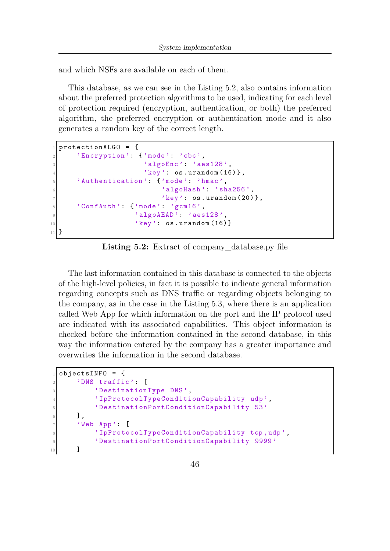and which NSFs are available on each of them.

This database, as we can see in the Listing [5.2,](#page-61-0) also contains information about the preferred protection algorithms to be used, indicating for each level of protection required (encryption, authentication, or both) the preferred algorithm, the preferred encryption or authentication mode and it also generates a random key of the correct length.

```
protectionALGO = {|2| 'Encryption': {'mode': 'cbc',
3 \vert 'algoEnc': 'aes128',
\mathbb{R}^4 'key': os.urandom (16) },
5 'Authentication': {'mode': 'hmac',
6 \vert 'algoHash': 'sha256',
\mathbb{Z}<sup>7</sup> \mathbb{Z} \mathbb{Z} \mathbb{Z} \mathbb{Z} \mathbb{Z} \mathbb{Z} \mathbb{Z} \mathbb{Z} \mathbb{Z} \mathbb{Z} \mathbb{Z} \mathbb{Z} \mathbb{Z} \mathbb{Z} \mathbb{Z} \mathbb{Z} \mathbb{Z} \mathbb{Z} \mathbb{Z} \mathbb{Z} \mathbb{Z} \mathbb{Z} \mathbb{Z} \|8| 'ConfAuth': {'mode': 'gcm16',
9 algoAEAD': 'aes128',
\mathbb{R}^{10} 'key': os.urandom (16) }
_{11} }
```
**Listing 5.2:** Extract of company\_database.py file

The last information contained in this database is connected to the objects of the high-level policies, in fact it is possible to indicate general information regarding concepts such as DNS traffic or regarding objects belonging to the company, as in the case in the Listing [5.3,](#page-61-1) where there is an application called Web App for which information on the port and the IP protocol used are indicated with its associated capabilities. This object information is checked before the information contained in the second database, in this way the information entered by the company has a greater importance and overwrites the information in the second database.

```
objectsINFO = {|2| 'DNS traffic': [
3 DestinationType DNS',
4 ' IpProtocolTypeConditionCapability udp ',
5 ' DestinationPortConditionCapability 53 '
6 ],
7 \vee Web App': [
8 ' IpProtocolTypeConditionCapability tcp, udp',
9 ' DestinationPortConditionCapability 9999 '
10 ]
```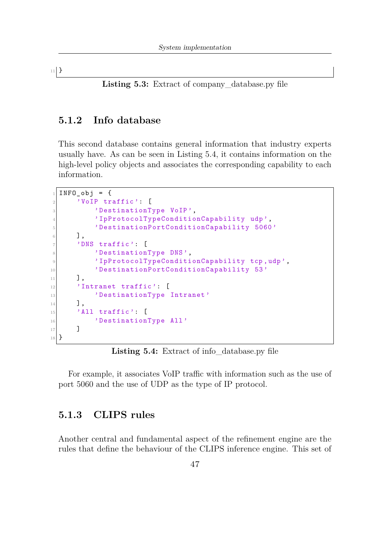$_{11}$  }

Listing 5.3: Extract of company database.py file

### **5.1.2 Info database**

This second database contains general information that industry experts usually have. As can be seen in Listing [5.4,](#page-62-0) it contains information on the high-level policy objects and associates the corresponding capability to each information.

```
INFO_obj = {|2| 'VoIP traffic': [
3 b 'DestinationType VoIP',
           'IpProtocolTypeConditionCapability udp',
5 ' DestinationPortConditionCapability 5060 '
6 ],
7 'DNS traffic': [
8 b 'DestinationType DNS',
9 ' IpProtocolTypeConditionCapability tcp ,udp ',
10 'DestinationPortConditionCapability 53'
\begin{array}{ccc} \n\end{array} 11 \begin{array}{ccc} \n\end{array}12 'Intranet traffic': [
13 DestinationType Intranet'
\begin{array}{ccc} \n\frac{1}{4} & \n\end{array} ],
_{15} 'All traffic': [
16 'DestinationType All'
17 ]
18 }
```
Listing 5.4: Extract of info database.py file

For example, it associates VoIP traffic with information such as the use of port 5060 and the use of UDP as the type of IP protocol.

### **5.1.3 CLIPS rules**

Another central and fundamental aspect of the refinement engine are the rules that define the behaviour of the CLIPS inference engine. This set of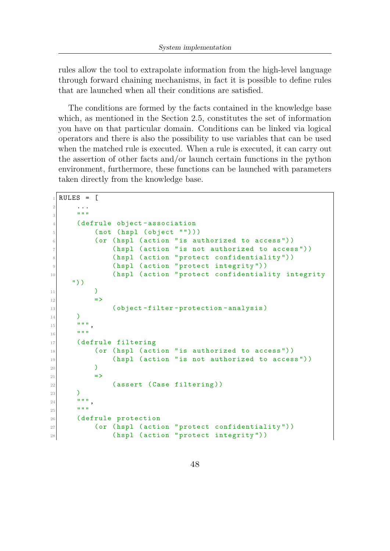rules allow the tool to extrapolate information from the high-level language through forward chaining mechanisms, in fact it is possible to define rules that are launched when all their conditions are satisfied.

The conditions are formed by the facts contained in the knowledge base which, as mentioned in the Section [2.5,](#page-25-0) constitutes the set of information you have on that particular domain. Conditions can be linked via logical operators and there is also the possibility to use variables that can be used when the matched rule is executed. When a rule is executed, it can carry out the assertion of other facts and/or launch certain functions in the python environment, furthermore, these functions can be launched with parameters taken directly from the knowledge base.

```
RULES = \Gamma2 \cdots\frac{1}{3} """"
4 ( defrule object - association
5 (not (hspl (object "")))
\frac{1}{6} (or (hspl (action "is authorized to access"))
7 (hspl (action "is not authorized to access"))
8 (hspl (action "protect confidentiality"))
9 (hspl (action "protect integrity"))
10 (hspl (action "protect confidentiality integrity
     "))
11 )
12 = >
13 (object-filter-protection-analysis)
\frac{14}{ } )
\begin{array}{c|c}\n & \text{if } \mathfrak{n} & \mathfrak{n} \\
\hline\n\vdots & \n\end{array}\frac{16}{16} """
17 (defrule filtering
\frac{18}{18} (or (hspl (action "is authorized to access"))
_{19} (hspl (action "is not authorized to access"))
20 )
_{21} \qquad \qquad \Rightarrow22 (assert (Case filtering))
23 )
\begin{array}{c|c}\n & \text{if } \mathfrak{n} & \mathfrak{n} \\
\hline\n\end{array}25 """"
26 (defrule protection
27 (or (hspl (action "protect confidentiality"))
28 (hspl (action "protect integrity"))
```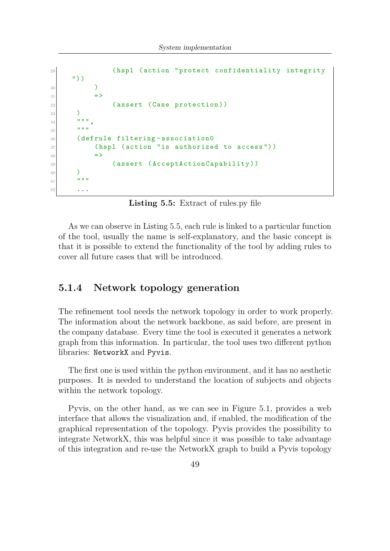```
29 (hspl (action "protect confidentiality integrity
      "))
30 )
31 \qquad \qquad \Rightarrow32 (assert (Case protection))
33 )
\frac{34}{} \frac{1}{10} \frac{1}{10} \frac{1}{10}\frac{35}{100} """
36 (defrule filtering-association0
37 (hspl (action "is authorized to access"))
\frac{38}{ } \qquad \qquad \Rightarrow39 (assert (AcceptActionCapability))
40 )
41 \frac{1}{1} \frac{1}{1} \frac{1}{1} \frac{1}{1} \frac{1}{1}42 ...
```
**Listing 5.5:** Extract of rules.py file

As we can observe in Listing [5.5,](#page-63-0) each rule is linked to a particular function of the tool, usually the name is self-explanatory, and the basic concept is that it is possible to extend the functionality of the tool by adding rules to cover all future cases that will be introduced.

### **5.1.4 Network topology generation**

The refinement tool needs the network topology in order to work properly. The information about the network backbone, as said before, are present in the company database. Every time the tool is executed it generates a network graph from this information. In particular, the tool uses two different python libraries: NetworkX and Pyvis.

The first one is used within the python environment, and it has no aesthetic purposes. It is needed to understand the location of subjects and objects within the network topology.

Pyvis, on the other hand, as we can see in Figure [5.1,](#page-65-0) provides a web interface that allows the visualization and, if enabled, the modification of the graphical representation of the topology. Pyvis provides the possibility to integrate NetworkX, this was helpful since it was possible to take advantage of this integration and re-use the NetworkX graph to build a Pyvis topology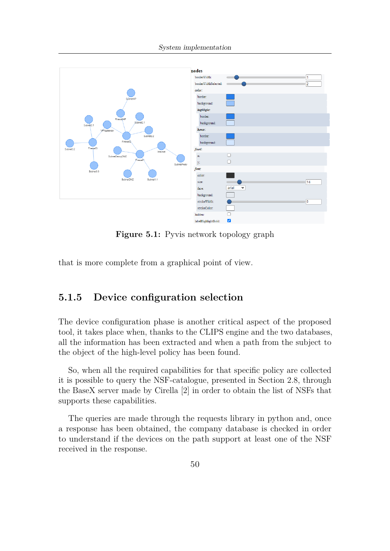<span id="page-65-0"></span>

**Figure 5.1:** Pyvis network topology graph

that is more complete from a graphical point of view.

### **5.1.5 Device configuration selection**

The device configuration phase is another critical aspect of the proposed tool, it takes place when, thanks to the CLIPS engine and the two databases, all the information has been extracted and when a path from the subject to the object of the high-level policy has been found.

So, when all the required capabilities for that specific policy are collected it is possible to query the NSF-catalogue, presented in Section [2.8,](#page-30-0) through the BaseX server made by Cirella [\[2\]](#page-107-0) in order to obtain the list of NSFs that supports these capabilities.

The queries are made through the requests library in python and, once a response has been obtained, the company database is checked in order to understand if the devices on the path support at least one of the NSF received in the response.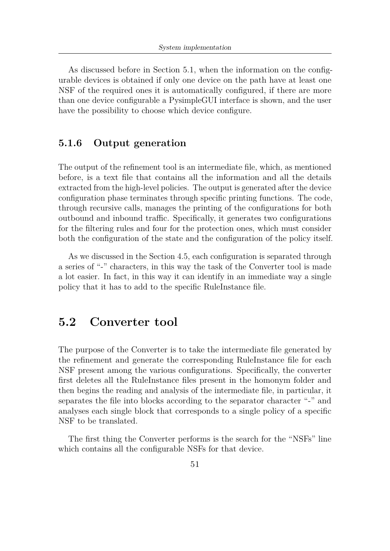As discussed before in Section [5.1,](#page-58-0) when the information on the configurable devices is obtained if only one device on the path have at least one NSF of the required ones it is automatically configured, if there are more than one device configurable a PysimpleGUI interface is shown, and the user have the possibility to choose which device configure.

### **5.1.6 Output generation**

The output of the refinement tool is an intermediate file, which, as mentioned before, is a text file that contains all the information and all the details extracted from the high-level policies. The output is generated after the device configuration phase terminates through specific printing functions. The code, through recursive calls, manages the printing of the configurations for both outbound and inbound traffic. Specifically, it generates two configurations for the filtering rules and four for the protection ones, which must consider both the configuration of the state and the configuration of the policy itself.

As we discussed in the Section [4.5,](#page-52-0) each configuration is separated through a series of "-" characters, in this way the task of the Converter tool is made a lot easier. In fact, in this way it can identify in an immediate way a single policy that it has to add to the specific RuleInstance file.

## **5.2 Converter tool**

The purpose of the Converter is to take the intermediate file generated by the refinement and generate the corresponding RuleInstance file for each NSF present among the various configurations. Specifically, the converter first deletes all the RuleInstance files present in the homonym folder and then begins the reading and analysis of the intermediate file, in particular, it separates the file into blocks according to the separator character "-" and analyses each single block that corresponds to a single policy of a specific NSF to be translated.

The first thing the Converter performs is the search for the "NSFs" line which contains all the configurable NSFs for that device.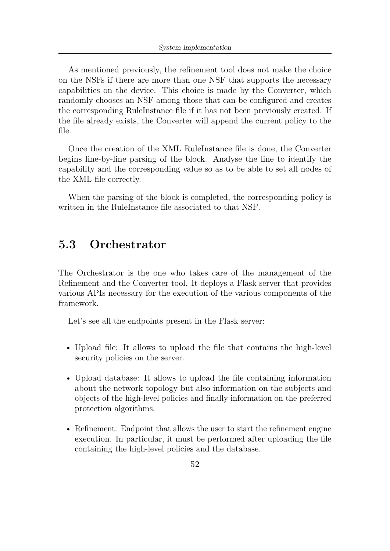As mentioned previously, the refinement tool does not make the choice on the NSFs if there are more than one NSF that supports the necessary capabilities on the device. This choice is made by the Converter, which randomly chooses an NSF among those that can be configured and creates the corresponding RuleInstance file if it has not been previously created. If the file already exists, the Converter will append the current policy to the file.

Once the creation of the XML RuleInstance file is done, the Converter begins line-by-line parsing of the block. Analyse the line to identify the capability and the corresponding value so as to be able to set all nodes of the XML file correctly.

When the parsing of the block is completed, the corresponding policy is written in the RuleInstance file associated to that NSF.

## **5.3 Orchestrator**

The Orchestrator is the one who takes care of the management of the Refinement and the Converter tool. It deploys a Flask server that provides various APIs necessary for the execution of the various components of the framework.

Let's see all the endpoints present in the Flask server:

- Upload file: It allows to upload the file that contains the high-level security policies on the server.
- Upload database: It allows to upload the file containing information about the network topology but also information on the subjects and objects of the high-level policies and finally information on the preferred protection algorithms.
- Refinement: Endpoint that allows the user to start the refinement engine execution. In particular, it must be performed after uploading the file containing the high-level policies and the database.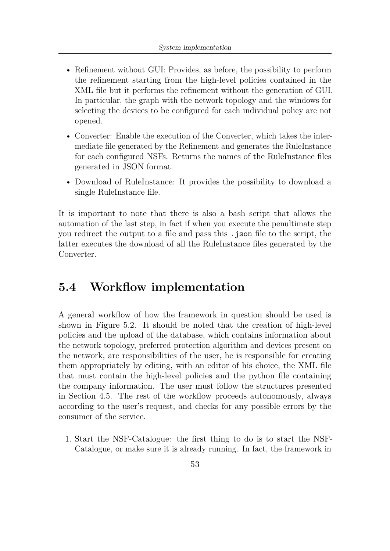- Refinement without GUI: Provides, as before, the possibility to perform the refinement starting from the high-level policies contained in the XML file but it performs the refinement without the generation of GUI. In particular, the graph with the network topology and the windows for selecting the devices to be configured for each individual policy are not opened.
- Converter: Enable the execution of the Converter, which takes the intermediate file generated by the Refinement and generates the RuleInstance for each configured NSFs. Returns the names of the RuleInstance files generated in JSON format.
- Download of RuleInstance: It provides the possibility to download a single RuleInstance file.

It is important to note that there is also a bash script that allows the automation of the last step, in fact if when you execute the penultimate step you redirect the output to a file and pass this .json file to the script, the latter executes the download of all the RuleInstance files generated by the Converter.

## <span id="page-68-0"></span>**5.4 Workflow implementation**

A general workflow of how the framework in question should be used is shown in Figure [5.2.](#page-69-0) It should be noted that the creation of high-level policies and the upload of the database, which contains information about the network topology, preferred protection algorithm and devices present on the network, are responsibilities of the user, he is responsible for creating them appropriately by editing, with an editor of his choice, the XML file that must contain the high-level policies and the python file containing the company information. The user must follow the structures presented in Section [4.5.](#page-52-0) The rest of the workflow proceeds autonomously, always according to the user's request, and checks for any possible errors by the consumer of the service.

1. Start the NSF-Catalogue: the first thing to do is to start the NSF-Catalogue, or make sure it is already running. In fact, the framework in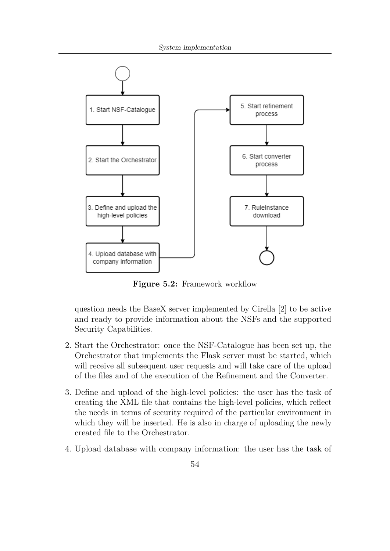<span id="page-69-0"></span>

**Figure 5.2:** Framework workflow

question needs the BaseX server implemented by Cirella [\[2\]](#page-107-0) to be active and ready to provide information about the NSFs and the supported Security Capabilities.

- 2. Start the Orchestrator: once the NSF-Catalogue has been set up, the Orchestrator that implements the Flask server must be started, which will receive all subsequent user requests and will take care of the upload of the files and of the execution of the Refinement and the Converter.
- 3. Define and upload of the high-level policies: the user has the task of creating the XML file that contains the high-level policies, which reflect the needs in terms of security required of the particular environment in which they will be inserted. He is also in charge of uploading the newly created file to the Orchestrator.
- 4. Upload database with company information: the user has the task of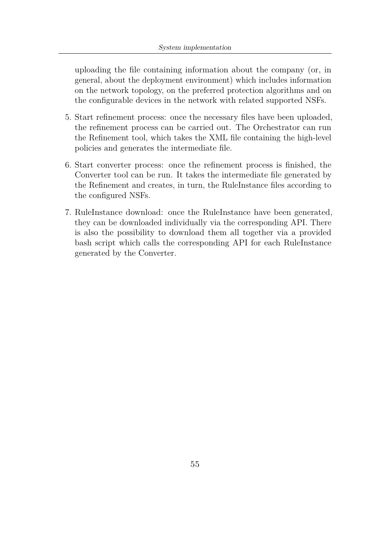uploading the file containing information about the company (or, in general, about the deployment environment) which includes information on the network topology, on the preferred protection algorithms and on the configurable devices in the network with related supported NSFs.

- 5. Start refinement process: once the necessary files have been uploaded, the refinement process can be carried out. The Orchestrator can run the Refinement tool, which takes the XML file containing the high-level policies and generates the intermediate file.
- 6. Start converter process: once the refinement process is finished, the Converter tool can be run. It takes the intermediate file generated by the Refinement and creates, in turn, the RuleInstance files according to the configured NSFs.
- 7. RuleInstance download: once the RuleInstance have been generated, they can be downloaded individually via the corresponding API. There is also the possibility to download them all together via a provided bash script which calls the corresponding API for each RuleInstance generated by the Converter.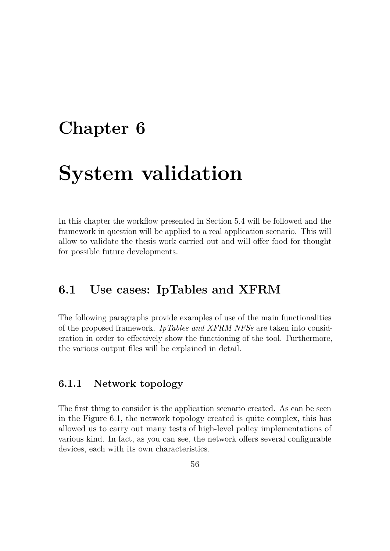## **Chapter 6**

# **System validation**

In this chapter the workflow presented in Section [5.4](#page-68-0) will be followed and the framework in question will be applied to a real application scenario. This will allow to validate the thesis work carried out and will offer food for thought for possible future developments.

## **6.1 Use cases: IpTables and XFRM**

The following paragraphs provide examples of use of the main functionalities of the proposed framework. *IpTables and XFRM NFSs* are taken into consideration in order to effectively show the functioning of the tool. Furthermore, the various output files will be explained in detail.

### **6.1.1 Network topology**

The first thing to consider is the application scenario created. As can be seen in the Figure [6.1,](#page-72-0) the network topology created is quite complex, this has allowed us to carry out many tests of high-level policy implementations of various kind. In fact, as you can see, the network offers several configurable devices, each with its own characteristics.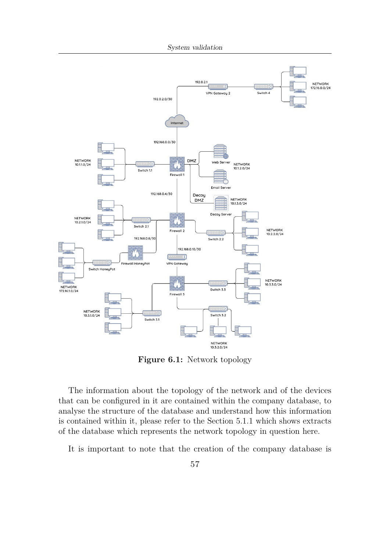System validation



**Figure 6.1:** Network topology

The information about the topology of the network and of the devices that can be configured in it are contained within the company database, to analyse the structure of the database and understand how this information is contained within it, please refer to the Section [5.1.1](#page-59-0) which shows extracts of the database which represents the network topology in question here.

It is important to note that the creation of the company database is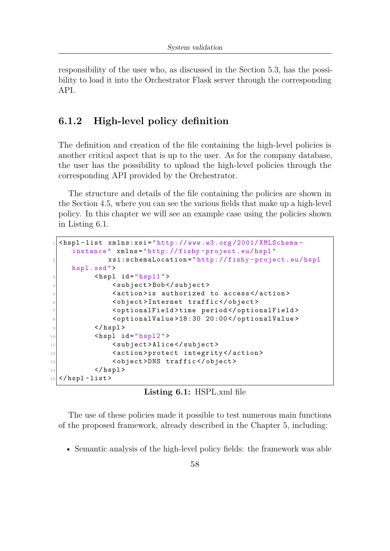responsibility of the user who, as discussed in the Section [5.3,](#page-67-0) has the possibility to load it into the Orchestrator Flask server through the corresponding API.

### **6.1.2 High-level policy definition**

The definition and creation of the file containing the high-level policies is another critical aspect that is up to the user. As for the company database, the user has the possibility to upload the high-level policies through the corresponding API provided by the Orchestrator.

The structure and details of the file containing the policies are shown in the Section [4.5,](#page-52-0) where you can see the various fields that make up a high-level policy. In this chapter we will see an example case using the policies shown in Listing [6.1.](#page-73-0)

```
1 < hspl - list xmlns:xsi =" http: // www .w3.org /2001/ XMLSchema -
     instance " xmlns =" http: // fishy - project .eu/ hspl "
              2 xsi:schemaLocation =" http: // fishy - project .eu/ hspl
     hspl .xsd ">
          <hspl id = " hspl1 ">
               4 < subject > Bob </ subject >
               5 < action > is authorized to access </ action >
6 < object > Internet traffic </ object >
7 < optionalField > time period </ optionalField >
8 < optionalValue > 18 :30 20 :00 </ optionalValue >
9 \langle hspl>
10 \langle \text{hspl} \text{1d} = " \text{hspl} 2" \rangle11 <subject>Alice</subject>
12 <action>protect integrity</action>
13 < object>DNS traffic</object>
|14| </hspl>
_{15} </hspl-list>
```
**Listing 6.1:** HSPL.xml file

The use of these policies made it possible to test numerous main functions of the proposed framework, already described in the Chapter [5,](#page-58-0) including:

• Semantic analysis of the high-level policy fields: the framework was able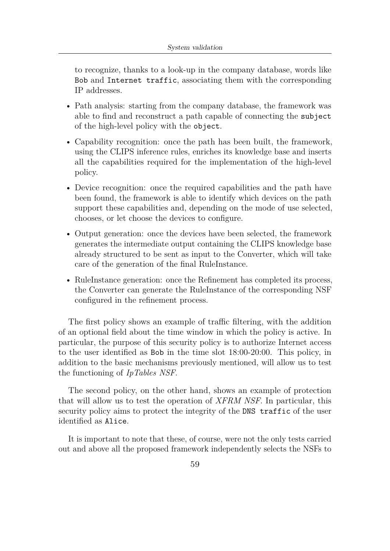to recognize, thanks to a look-up in the company database, words like Bob and Internet traffic, associating them with the corresponding IP addresses.

- Path analysis: starting from the company database, the framework was able to find and reconstruct a path capable of connecting the subject of the high-level policy with the object.
- Capability recognition: once the path has been built, the framework, using the CLIPS inference rules, enriches its knowledge base and inserts all the capabilities required for the implementation of the high-level policy.
- Device recognition: once the required capabilities and the path have been found, the framework is able to identify which devices on the path support these capabilities and, depending on the mode of use selected, chooses, or let choose the devices to configure.
- Output generation: once the devices have been selected, the framework generates the intermediate output containing the CLIPS knowledge base already structured to be sent as input to the Converter, which will take care of the generation of the final RuleInstance.
- RuleInstance generation: once the Refinement has completed its process, the Converter can generate the RuleInstance of the corresponding NSF configured in the refinement process.

The first policy shows an example of traffic filtering, with the addition of an optional field about the time window in which the policy is active. In particular, the purpose of this security policy is to authorize Internet access to the user identified as Bob in the time slot 18:00-20:00. This policy, in addition to the basic mechanisms previously mentioned, will allow us to test the functioning of *IpTables NSF*.

The second policy, on the other hand, shows an example of protection that will allow us to test the operation of *XFRM NSF*. In particular, this security policy aims to protect the integrity of the DNS traffic of the user identified as Alice.

It is important to note that these, of course, were not the only tests carried out and above all the proposed framework independently selects the NSFs to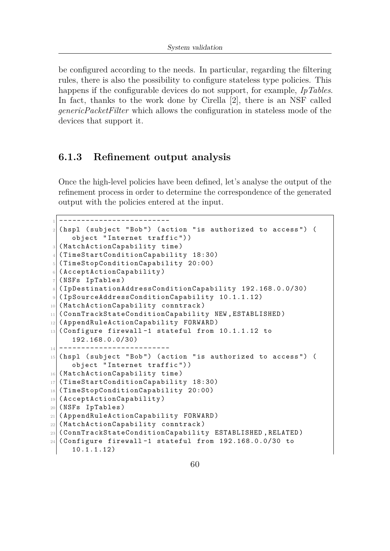be configured according to the needs. In particular, regarding the filtering rules, there is also the possibility to configure stateless type policies. This happens if the configurable devices do not support, for example, *IpTables*. In fact, thanks to the work done by Cirella [\[2\]](#page-107-0), there is an NSF called *genericPacketFilter* which allows the configuration in stateless mode of the devices that support it.

### **6.1.3 Refinement output analysis**

Once the high-level policies have been defined, let's analyse the output of the refinement process in order to determine the correspondence of the generated output with the policies entered at the input.

```
1 -------------------------
  (hspl (subject "Bob") (action "is authorized to access") (
     object " Internet traffic ") )
3 ( MatchActionCapability time )
4 ( TimeStartConditionCapability 18:30)
5 ( TimeStopConditionCapability 20:00)
6 (AcceptActionCapability)
7 (NSFs IpTables)
8 ( IpDestinationAddressConditionCapability 192.168.0.0/30)
9 ( IpSourceAddressConditionCapability 10.1.1.12)
_{10} (MatchActionCapability conntrack)
11 (ConnTrackStateConditionCapability NEW, ESTABLISHED)
12 (AppendRuleActionCapability FORWARD)
13 (Configure firewall-1 stateful from 10.1.1.12 to
     192.168.0.0/30)
14 -------------------------
_{15} (hspl (subject "Bob") (action "is authorized to access") (
     object " Internet traffic ") )
16 (MatchActionCapability time)
17 (TimeStartConditionCapability 18:30)
18 ( TimeStopConditionCapability 20:00)
19 (AcceptActionCapability)
20 ( NSFs IpTables )
21 ( AppendRuleActionCapability FORWARD )
22 ( MatchActionCapability conntrack )
23 (ConnTrackStateConditionCapability ESTABLISHED, RELATED)
_{24} (Configure firewall-1 stateful from 192.168.0.0/30 to
     10.1.1.12)
```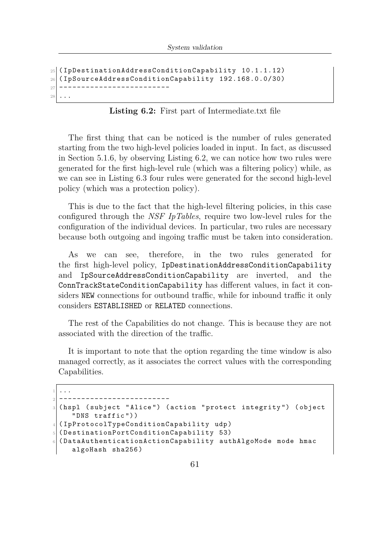```
25 ( IpDestinationAddressConditionCapability 10.1.1.12)
26 ( IpSourceAddressConditionCapability 192.168.0.0/30)
27 ------------------------
2s
```
**Listing 6.2:** First part of Intermediate.txt file

The first thing that can be noticed is the number of rules generated starting from the two high-level policies loaded in input. In fact, as discussed in Section [5.1.6,](#page-66-0) by observing Listing [6.2,](#page-75-0) we can notice how two rules were generated for the first high-level rule (which was a filtering policy) while, as we can see in Listing [6.3](#page-76-0) four rules were generated for the second high-level policy (which was a protection policy).

This is due to the fact that the high-level filtering policies, in this case configured through the *NSF IpTables*, require two low-level rules for the configuration of the individual devices. In particular, two rules are necessary because both outgoing and ingoing traffic must be taken into consideration.

As we can see, therefore, in the two rules generated for the first high-level policy, IpDestinationAddressConditionCapability and IpSourceAddressConditionCapability are inverted, and the ConnTrackStateConditionCapability has different values, in fact it considers NEW connections for outbound traffic, while for inbound traffic it only considers ESTABLISHED or RELATED connections.

The rest of the Capabilities do not change. This is because they are not associated with the direction of the traffic.

It is important to note that the option regarding the time window is also managed correctly, as it associates the correct values with the corresponding Capabilities.

```
1 \mid \ldots2 -------------------------
 (hspl (subject "Alice") (action "protect integrity") (object
    " DNS traffic ") )
4 ( IpProtocolTypeConditionCapability udp )
5 ( DestinationPortConditionCapability 53)
6 (DataAuthenticationActionCapability authAlgoMode mode hmac
    algoHash sha256 )
```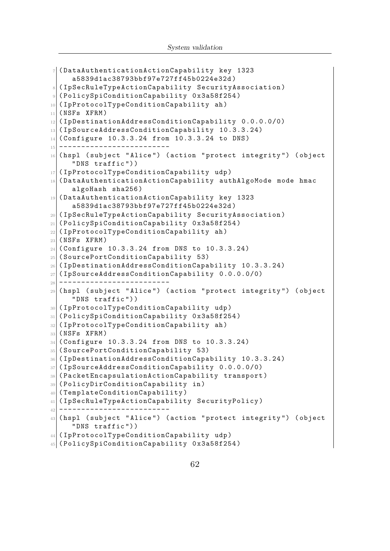```
7 (DataAuthenticationActionCapability key 1323
     a5839d1ac38793bbf97e727ff45b0224e32d )
8 ( IpSecRuleTypeActionCapability SecurityAssociation )
9 ( PolicySpiConditionCapability 0 x3a58f254 )
10 (IpProtocolTypeConditionCapability ah)
_{11} (NSFs XFRM)
12 ( IpDestinationAddressConditionCapability 0.0.0.0/0)
13 (IpSourceAddressConditionCapability 10.3.3.24)
14 (Configure 10.3.3.24 from 10.3.3.24 to DNS)
15 -------------------------
16 ( hspl ( subject " Alice ") ( action " protect integrity ") ( object
     " DNS traffic ") )
17 (IpProtocolTypeConditionCapability udp)
18 ( DataAuthenticationActionCapability authAlgoMode mode hmac
     algoHash sha256 )
19 ( DataAuthenticationActionCapability key 1323
     a5839d1ac38793bbf97e727ff45b0224e32d )
20 ( IpSecRuleTypeActionCapability SecurityAssociation )
21 ( PolicySpiConditionCapability 0 x3a58f254 )
22 ( IpProtocolTypeConditionCapability ah )
_{23} (NSFs XFRM)
24 ( Configure 10.3.3.24 from DNS to 10.3.3.24)
25 ( SourcePortConditionCapability 53)
26 ( IpDestinationAddressConditionCapability 10.3.3.24)
27 ( IpSourceAddressConditionCapability 0.0.0.0/0)
28 -------------------------
29 (hspl (subject "Alice") (action "protect integrity") (object
     " DNS traffic ") )
30 (IpProtocolTypeConditionCapability udp)
31 (PolicySpiConditionCapability 0x3a58f254)
32 (IpProtocolTypeConditionCapability ah)
33 (NSFs XFRM)
34 ( Configure 10.3.3.24 from DNS to 10.3.3.24)
35 ( SourcePortConditionCapability 53)
36 (IpDestinationAddressConditionCapability 10.3.3.24)
37 ( IpSourceAddressConditionCapability 0.0.0.0/0)
38 (PacketEncapsulationActionCapability transport)
39 ( PolicyDirConditionCapability in )
40 ( TemplateConditionCapability )
41 (IpSecRuleTypeActionCapability SecurityPolicy)
\left\vert \left\langle 42\right\vert \right\vert -----------------------
43 (hspl (subject "Alice") (action "protect integrity") (object
     " DNS traffic ") )
44 ( IpProtocolTypeConditionCapability udp )
45 ( PolicySpiConditionCapability 0 x3a58f254 )
```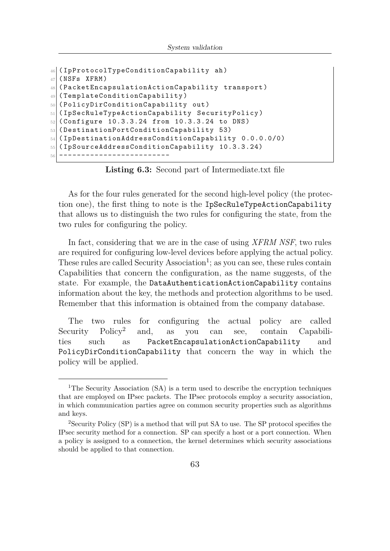```
46 ( IpProtocolTypeConditionCapability ah )
_{47} (NSFs XFRM)
48 ( PacketEncapsulationActionCapability transport )
49 ( TemplateConditionCapability )
_{50} (PolicyDirConditionCapability out)
_{51} (IpSecRuleTypeActionCapability SecurityPolicy)
52 (Configure 10.3.3.24 from 10.3.3.24 to DNS)
53 ( DestinationPortConditionCapability 53)
54 ( IpDestinationAddressConditionCapability 0.0.0.0/0)
55 ( IpSourceAddressConditionCapability 10.3.3.24)
56 <del>----------------------</del>
```
**Listing 6.3:** Second part of Intermediate.txt file

As for the four rules generated for the second high-level policy (the protection one), the first thing to note is the IpSecRuleTypeActionCapability that allows us to distinguish the two rules for configuring the state, from the two rules for configuring the policy.

In fact, considering that we are in the case of using *XFRM NSF*, two rules are required for configuring low-level devices before applying the actual policy. These rules are called Security Association<sup>[1](#page-78-0)</sup>; as you can see, these rules contain Capabilities that concern the configuration, as the name suggests, of the state. For example, the DataAuthenticationActionCapability contains information about the key, the methods and protection algorithms to be used. Remember that this information is obtained from the company database.

The two rules for configuring the actual policy are called Security Policy<sup>[2](#page-78-1)</sup> and, as you can see, contain Capabilities such as PacketEncapsulationActionCapability and PolicyDirConditionCapability that concern the way in which the policy will be applied.

<span id="page-78-0"></span><sup>&</sup>lt;sup>1</sup>The Security Association (SA) is a term used to describe the encryption techniques that are employed on IPsec packets. The IPsec protocols employ a security association, in which communication parties agree on common security properties such as algorithms and keys.

<span id="page-78-1"></span><sup>2</sup>Security Policy (SP) is a method that will put SA to use. The SP protocol specifies the IPsec security method for a connection. SP can specify a host or a port connection. When a policy is assigned to a connection, the kernel determines which security associations should be applied to that connection.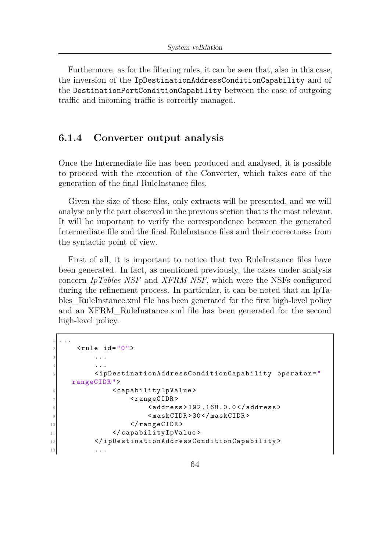Furthermore, as for the filtering rules, it can be seen that, also in this case, the inversion of the IpDestinationAddressConditionCapability and of the DestinationPortConditionCapability between the case of outgoing traffic and incoming traffic is correctly managed.

#### **6.1.4 Converter output analysis**

Once the Intermediate file has been produced and analysed, it is possible to proceed with the execution of the Converter, which takes care of the generation of the final RuleInstance files.

Given the size of these files, only extracts will be presented, and we will analyse only the part observed in the previous section that is the most relevant. It will be important to verify the correspondence between the generated Intermediate file and the final RuleInstance files and their correctness from the syntactic point of view.

First of all, it is important to notice that two RuleInstance files have been generated. In fact, as mentioned previously, the cases under analysis concern *IpTables NSF* and *XFRM NSF*, which were the NSFs configured during the refinement process. In particular, it can be noted that an IpTables\_RuleInstance.xml file has been generated for the first high-level policy and an XFRM\_RuleInstance.xml file has been generated for the second high-level policy.

```
1 \mid \ldots|2| < rule id="0">
3 ...
       4 ...
5 <ipDestinationAddressConditionCapability operator="
   rangeCIDR ">
6 <capabilityIpValue>
7 < rangeCIDR >
8 <address>192.168.0.0</address></a>
9 <maskCIDR>30</maskCIDR>
10 </rangeCIDR>
11 </ capabilityIpValue>
12 </ipDestinationAddressConditionCapability>
13 ...
```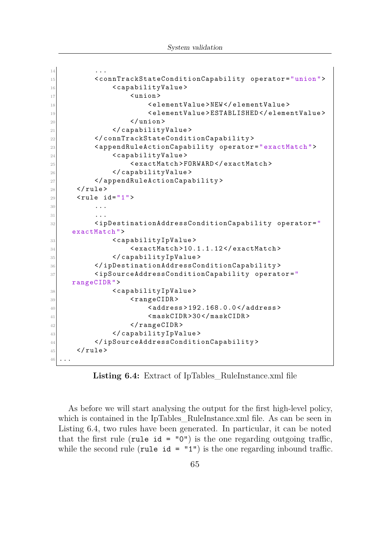| 14 |                                                                                                                                                                                                                                                                                                                                                                                                                                                                                                                                                                                                                                                                                                                        |
|----|------------------------------------------------------------------------------------------------------------------------------------------------------------------------------------------------------------------------------------------------------------------------------------------------------------------------------------------------------------------------------------------------------------------------------------------------------------------------------------------------------------------------------------------------------------------------------------------------------------------------------------------------------------------------------------------------------------------------|
| 15 | <conntrackstateconditioncapability operator="union"></conntrackstateconditioncapability>                                                                                                                                                                                                                                                                                                                                                                                                                                                                                                                                                                                                                               |
| 16 | <capabilityvalue></capabilityvalue>                                                                                                                                                                                                                                                                                                                                                                                                                                                                                                                                                                                                                                                                                    |
| 17 | $\langle$ union $\rangle$                                                                                                                                                                                                                                                                                                                                                                                                                                                                                                                                                                                                                                                                                              |
| 18 | <elementvalue>NEW</elementvalue>                                                                                                                                                                                                                                                                                                                                                                                                                                                                                                                                                                                                                                                                                       |
| 19 | <elementvalue>ESTABLISHED</elementvalue>                                                                                                                                                                                                                                                                                                                                                                                                                                                                                                                                                                                                                                                                               |
| 20 | $\langle$ /union>                                                                                                                                                                                                                                                                                                                                                                                                                                                                                                                                                                                                                                                                                                      |
| 21 |                                                                                                                                                                                                                                                                                                                                                                                                                                                                                                                                                                                                                                                                                                                        |
| 22 |                                                                                                                                                                                                                                                                                                                                                                                                                                                                                                                                                                                                                                                                                                                        |
| 23 | <appendruleactioncapability operator="exactMatch"></appendruleactioncapability>                                                                                                                                                                                                                                                                                                                                                                                                                                                                                                                                                                                                                                        |
| 24 | <capabilityvalue></capabilityvalue>                                                                                                                                                                                                                                                                                                                                                                                                                                                                                                                                                                                                                                                                                    |
| 25 | <exactmatch>FORWARD</exactmatch>                                                                                                                                                                                                                                                                                                                                                                                                                                                                                                                                                                                                                                                                                       |
| 26 |                                                                                                                                                                                                                                                                                                                                                                                                                                                                                                                                                                                                                                                                                                                        |
| 27 |                                                                                                                                                                                                                                                                                                                                                                                                                                                                                                                                                                                                                                                                                                                        |
| 28 | $\langle$ /rule>                                                                                                                                                                                                                                                                                                                                                                                                                                                                                                                                                                                                                                                                                                       |
| 29 | $<$ rule id="1">                                                                                                                                                                                                                                                                                                                                                                                                                                                                                                                                                                                                                                                                                                       |
| 30 |                                                                                                                                                                                                                                                                                                                                                                                                                                                                                                                                                                                                                                                                                                                        |
| 31 |                                                                                                                                                                                                                                                                                                                                                                                                                                                                                                                                                                                                                                                                                                                        |
| 32 | <ipdestinationaddressconditioncapability <="" operator="&lt;/th&gt;&lt;/tr&gt;&lt;tr&gt;&lt;th&gt;&lt;/th&gt;&lt;th&gt;exactly&lt;/th&gt;&lt;/tr&gt;&lt;tr&gt;&lt;th&gt;33&lt;/th&gt;&lt;th&gt;&lt;capabilityIpValue&gt;&lt;/th&gt;&lt;/tr&gt;&lt;tr&gt;&lt;th&gt;34&lt;/th&gt;&lt;th&gt;&lt;exactMatch&gt;10.1.1.12&lt;/exactMatch&gt;&lt;/th&gt;&lt;/tr&gt;&lt;tr&gt;&lt;th&gt;35&lt;/th&gt;&lt;th&gt;&lt;/capabilityIpValue&gt;&lt;/th&gt;&lt;/tr&gt;&lt;tr&gt;&lt;th&gt;36&lt;/th&gt;&lt;th&gt;&lt;/ipDestinationAddressConditionCapability&gt;&lt;/th&gt;&lt;/tr&gt;&lt;tr&gt;&lt;th&gt;37&lt;/th&gt;&lt;th&gt;&lt;ipSourceAddressConditionCapability operator=" th=""></ipdestinationaddressconditioncapability> |
|    | rangeCIDR">                                                                                                                                                                                                                                                                                                                                                                                                                                                                                                                                                                                                                                                                                                            |
| 38 | <capabilityipvalue></capabilityipvalue>                                                                                                                                                                                                                                                                                                                                                                                                                                                                                                                                                                                                                                                                                |
| 39 | $<$ rangeCIDR>                                                                                                                                                                                                                                                                                                                                                                                                                                                                                                                                                                                                                                                                                                         |
| 40 | <address>192.168.0.0</address>                                                                                                                                                                                                                                                                                                                                                                                                                                                                                                                                                                                                                                                                                         |
| 41 | $<$ maskCIDR>30                                                                                                                                                                                                                                                                                                                                                                                                                                                                                                                                                                                                                                                                                                        |
| 42 | $\langle$ /rangeCIDR>                                                                                                                                                                                                                                                                                                                                                                                                                                                                                                                                                                                                                                                                                                  |
| 43 |                                                                                                                                                                                                                                                                                                                                                                                                                                                                                                                                                                                                                                                                                                                        |
| 44 |                                                                                                                                                                                                                                                                                                                                                                                                                                                                                                                                                                                                                                                                                                                        |
| 45 | $\langle$ /rule>                                                                                                                                                                                                                                                                                                                                                                                                                                                                                                                                                                                                                                                                                                       |
| 46 | $\cdot$ $\cdot$ $\cdot$                                                                                                                                                                                                                                                                                                                                                                                                                                                                                                                                                                                                                                                                                                |

Listing 6.4: Extract of IpTables RuleInstance.xml file

As before we will start analysing the output for the first high-level policy, which is contained in the IpTables\_RuleInstance.xml file. As can be seen in Listing [6.4,](#page-79-0) two rules have been generated. In particular, it can be noted that the first rule (rule id =  $"0"$ ) is the one regarding outgoing traffic, while the second rule (rule  $id = "1")$  is the one regarding inbound traffic.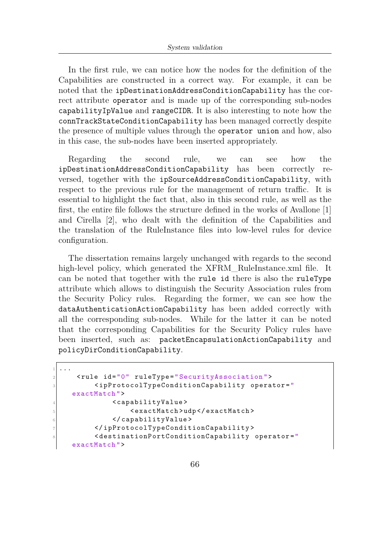In the first rule, we can notice how the nodes for the definition of the Capabilities are constructed in a correct way. For example, it can be noted that the ipDestinationAddressConditionCapability has the correct attribute operator and is made up of the corresponding sub-nodes capabilityIpValue and rangeCIDR. It is also interesting to note how the connTrackStateConditionCapability has been managed correctly despite the presence of multiple values through the operator union and how, also in this case, the sub-nodes have been inserted appropriately.

Regarding the second rule, we can see how the ipDestinationAddressConditionCapability has been correctly reversed, together with the ipSourceAddressConditionCapability, with respect to the previous rule for the management of return traffic. It is essential to highlight the fact that, also in this second rule, as well as the first, the entire file follows the structure defined in the works of Avallone [\[1\]](#page-107-1) and Cirella [\[2\]](#page-107-0), who dealt with the definition of the Capabilities and the translation of the RuleInstance files into low-level rules for device configuration.

The dissertation remains largely unchanged with regards to the second high-level policy, which generated the XFRM RuleInstance.xml file. It can be noted that together with the rule id there is also the ruleType attribute which allows to distinguish the Security Association rules from the Security Policy rules. Regarding the former, we can see how the dataAuthenticationActionCapability has been added correctly with all the corresponding sub-nodes. While for the latter it can be noted that the corresponding Capabilities for the Security Policy rules have been inserted, such as: packetEncapsulationActionCapability and policyDirConditionCapability.

```
1 \mid \ldots2 < rule id ="0" ruleType =" SecurityAssociation ">
         3 < ipProtocolTypeConditionCapability operator ="
    exactMatch ">
             4 < capabilityValue >
5 <exactMatch>udp</exactMatch>
6 </capabilityValue>
7 </ ipProtocolTypeConditionCapability >
         8 < destinationPortConditionCapability operator ="
    exactMatch ">
```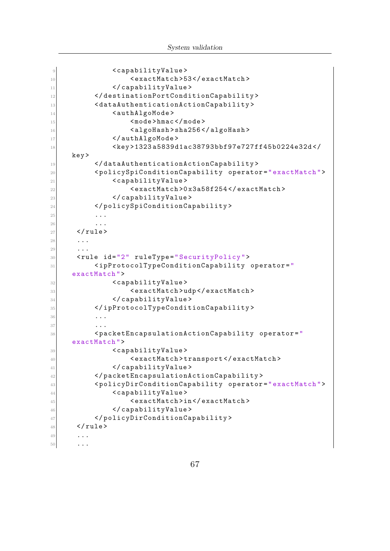```
9 <capabilityValue>
10 <exactMatch>53</exactMatch>
11 </capabilityValue>
12 </destinationPortConditionCapability>
13 <dataAuthenticationActionCapability>
14 <authAlgoMode>
15 <mode>hmac </mode>
16 <algoHash>sha256</algoHash>
17 </authAlgoMode>
18 < key > 1323 a5839d1ac38793bbf97e727ff45b0224e32d </
    key >
19 </dataAuthenticationActionCapability>
20 < policySpiConditionCapability operator =" exactMatch ">
21 <capabilityValue>
22 < exactMatch >0 x3a58f254 </ exactMatch >
\frac{23}{23} </capabilityValue>
24 </ policySpiConditionCapability >
25 ...
26 ...
_{27} \le/rule>
28 ...
29 . . .
30 <rule id="2" ruleType="SecurityPolicy">
\left\vert \text{sup} \right\vert \sim \left\vert \text{supProtocollTypeConditionCapability operator} \right\vertexactMatch ">
32 <capabilityValue>
33 <exactMatch>udp</exactMatch>
34 </capabilityValue>
35 </ ipProtocolTypeConditionCapability >
36 ...
37 ...
38 < packetEncapsulationActionCapability operator="
    exactMatch ">
39 < capabilityValue>
40 < exactMatch > transport </ exactMatch >
41 </capabilityValue>
42 </ packetEncapsulationActionCapability >
43 < policyDirConditionCapability operator =" exactMatch ">
44 <capabilityValue>
45 <exactMatch>in</exactMatch>
46 </capabilityValue>
47 </ policyDirConditionCapability >
\frac{48}{ } </rule>
49 ...
50 ...
```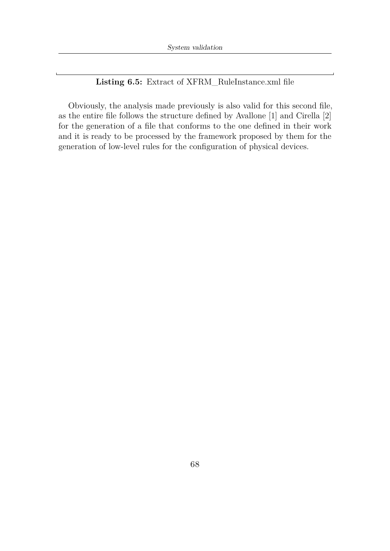**Listing 6.5:** Extract of XFRM\_RuleInstance.xml file

Obviously, the analysis made previously is also valid for this second file, as the entire file follows the structure defined by Avallone [\[1\]](#page-107-1) and Cirella [\[2\]](#page-107-0) for the generation of a file that conforms to the one defined in their work and it is ready to be processed by the framework proposed by them for the generation of low-level rules for the configuration of physical devices.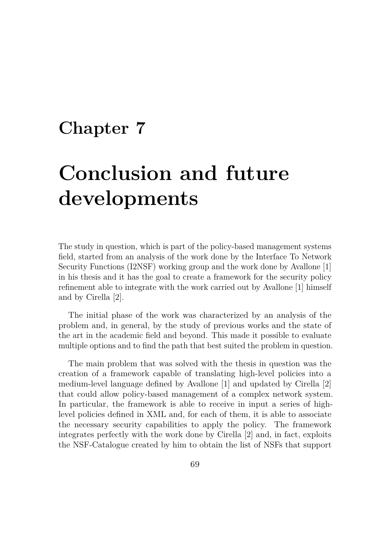# <span id="page-84-0"></span>**Chapter 7**

# **Conclusion and future developments**

The study in question, which is part of the policy-based management systems field, started from an analysis of the work done by the Interface To Network Security Functions (I2NSF) working group and the work done by Avallone [\[1\]](#page-107-1) in his thesis and it has the goal to create a framework for the security policy refinement able to integrate with the work carried out by Avallone [\[1\]](#page-107-1) himself and by Cirella [\[2\]](#page-107-0).

The initial phase of the work was characterized by an analysis of the problem and, in general, by the study of previous works and the state of the art in the academic field and beyond. This made it possible to evaluate multiple options and to find the path that best suited the problem in question.

The main problem that was solved with the thesis in question was the creation of a framework capable of translating high-level policies into a medium-level language defined by Avallone [\[1\]](#page-107-1) and updated by Cirella [\[2\]](#page-107-0) that could allow policy-based management of a complex network system. In particular, the framework is able to receive in input a series of highlevel policies defined in XML and, for each of them, it is able to associate the necessary security capabilities to apply the policy. The framework integrates perfectly with the work done by Cirella [\[2\]](#page-107-0) and, in fact, exploits the NSF-Catalogue created by him to obtain the list of NSFs that support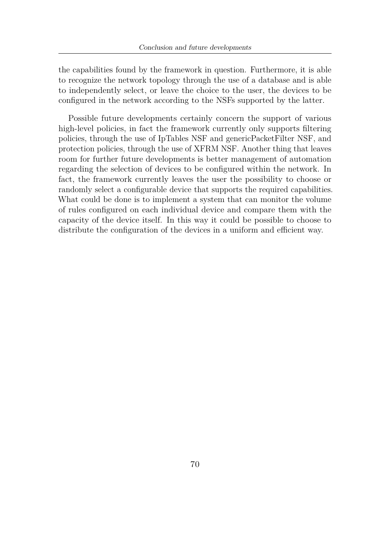the capabilities found by the framework in question. Furthermore, it is able to recognize the network topology through the use of a database and is able to independently select, or leave the choice to the user, the devices to be configured in the network according to the NSFs supported by the latter.

Possible future developments certainly concern the support of various high-level policies, in fact the framework currently only supports filtering policies, through the use of IpTables NSF and genericPacketFilter NSF, and protection policies, through the use of XFRM NSF. Another thing that leaves room for further future developments is better management of automation regarding the selection of devices to be configured within the network. In fact, the framework currently leaves the user the possibility to choose or randomly select a configurable device that supports the required capabilities. What could be done is to implement a system that can monitor the volume of rules configured on each individual device and compare them with the capacity of the device itself. In this way it could be possible to choose to distribute the configuration of the devices in a uniform and efficient way.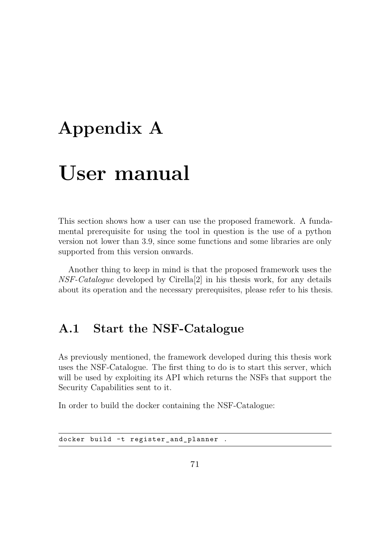# **Appendix A**

# **User manual**

This section shows how a user can use the proposed framework. A fundamental prerequisite for using the tool in question is the use of a python version not lower than 3.9, since some functions and some libraries are only supported from this version onwards.

Another thing to keep in mind is that the proposed framework uses the *NSF-Catalogue* developed by Cirella[\[2\]](#page-107-0) in his thesis work, for any details about its operation and the necessary prerequisites, please refer to his thesis.

## **A.1 Start the NSF-Catalogue**

As previously mentioned, the framework developed during this thesis work uses the NSF-Catalogue. The first thing to do is to start this server, which will be used by exploiting its API which returns the NSFs that support the Security Capabilities sent to it.

In order to build the docker containing the NSF-Catalogue:

docker build -t register\_and\_planner .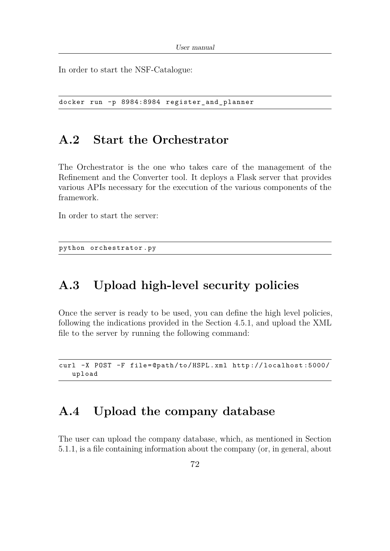In order to start the NSF-Catalogue:

docker run -p 8984:8984 register\_and\_planner

## **A.2 Start the Orchestrator**

The Orchestrator is the one who takes care of the management of the Refinement and the Converter tool. It deploys a Flask server that provides various APIs necessary for the execution of the various components of the framework.

In order to start the server:

python orchestrator . py

# **A.3 Upload high-level security policies**

Once the server is ready to be used, you can define the high level policies, following the indications provided in the Section [4.5.1,](#page-52-1) and upload the XML file to the server by running the following command:

curl -X POST -F file=@path/to/HSPL.xml http://localhost:5000/ upload

## **A.4 Upload the company database**

The user can upload the company database, which, as mentioned in Section [5.1.1,](#page-59-0) is a file containing information about the company (or, in general, about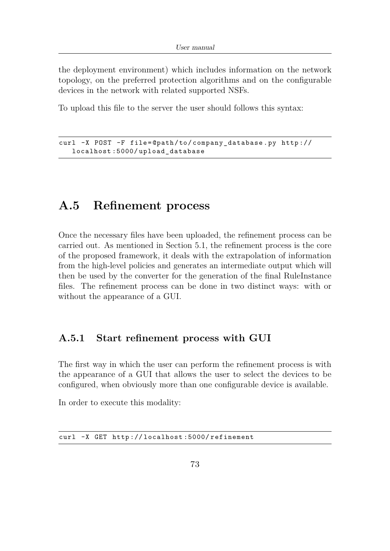the deployment environment) which includes information on the network topology, on the preferred protection algorithms and on the configurable devices in the network with related supported NSFs.

To upload this file to the server the user should follows this syntax:

```
curl -X POST -F file=@path/to/company database.py http://
  localhost :5000/ upload_database
```
## <span id="page-88-0"></span>**A.5 Refinement process**

Once the necessary files have been uploaded, the refinement process can be carried out. As mentioned in Section [5.1,](#page-58-1) the refinement process is the core of the proposed framework, it deals with the extrapolation of information from the high-level policies and generates an intermediate output which will then be used by the converter for the generation of the final RuleInstance files. The refinement process can be done in two distinct ways: with or without the appearance of a GUI.

### **A.5.1 Start refinement process with GUI**

The first way in which the user can perform the refinement process is with the appearance of a GUI that allows the user to select the devices to be configured, when obviously more than one configurable device is available.

In order to execute this modality:

curl -X GET http :// localhost :5000/ refinement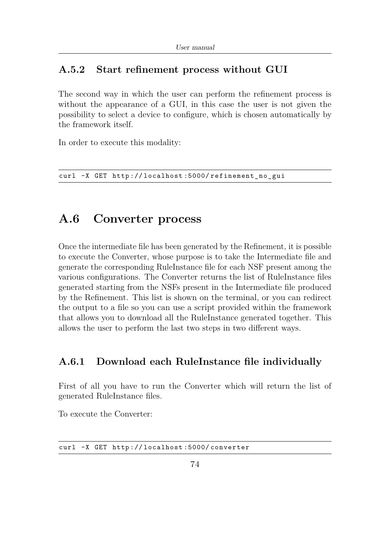## **A.5.2 Start refinement process without GUI**

The second way in which the user can perform the refinement process is without the appearance of a GUI, in this case the user is not given the possibility to select a device to configure, which is chosen automatically by the framework itself.

In order to execute this modality:

curl -X GET http://localhost:5000/refinement no gui

## **A.6 Converter process**

Once the intermediate file has been generated by the Refinement, it is possible to execute the Converter, whose purpose is to take the Intermediate file and generate the corresponding RuleInstance file for each NSF present among the various configurations. The Converter returns the list of RuleInstance files generated starting from the NSFs present in the Intermediate file produced by the Refinement. This list is shown on the terminal, or you can redirect the output to a file so you can use a script provided within the framework that allows you to download all the RuleInstance generated together. This allows the user to perform the last two steps in two different ways.

### **A.6.1 Download each RuleInstance file individually**

First of all you have to run the Converter which will return the list of generated RuleInstance files.

To execute the Converter:

curl -X GET http :// localhost :5000/ converter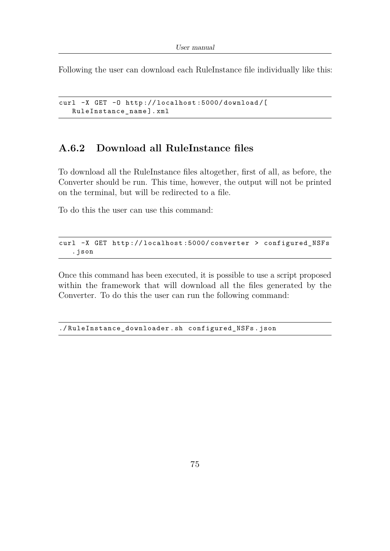Following the user can download each RuleInstance file individually like this:

```
curl -X GET -O http :// localhost :5000/ download /[
   RuleInstance_name ]. xml
```
## **A.6.2 Download all RuleInstance files**

To download all the RuleInstance files altogether, first of all, as before, the Converter should be run. This time, however, the output will not be printed on the terminal, but will be redirected to a file.

To do this the user can use this command:

```
curl -X GET http://localhost:5000/converter > configured_NSFs
   . json
```
Once this command has been executed, it is possible to use a script proposed within the framework that will download all the files generated by the Converter. To do this the user can run the following command:

./ RuleInstance\_downloader . sh configured\_NSFs . json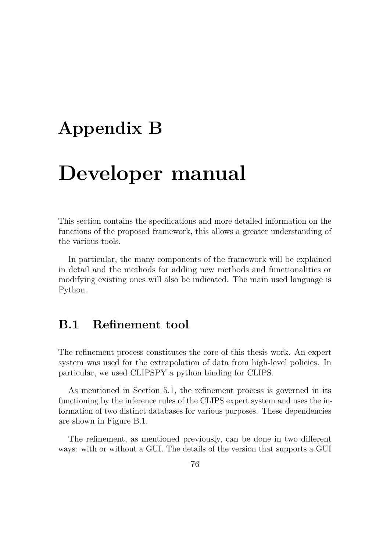# **Appendix B**

# **Developer manual**

This section contains the specifications and more detailed information on the functions of the proposed framework, this allows a greater understanding of the various tools.

In particular, the many components of the framework will be explained in detail and the methods for adding new methods and functionalities or modifying existing ones will also be indicated. The main used language is Python.

## <span id="page-91-0"></span>**B.1 Refinement tool**

The refinement process constitutes the core of this thesis work. An expert system was used for the extrapolation of data from high-level policies. In particular, we used CLIPSPY a python binding for CLIPS.

As mentioned in Section [5.1,](#page-58-1) the refinement process is governed in its functioning by the inference rules of the CLIPS expert system and uses the information of two distinct databases for various purposes. These dependencies are shown in Figure [B.1.](#page-92-0)

The refinement, as mentioned previously, can be done in two different ways: with or without a GUI. The details of the version that supports a GUI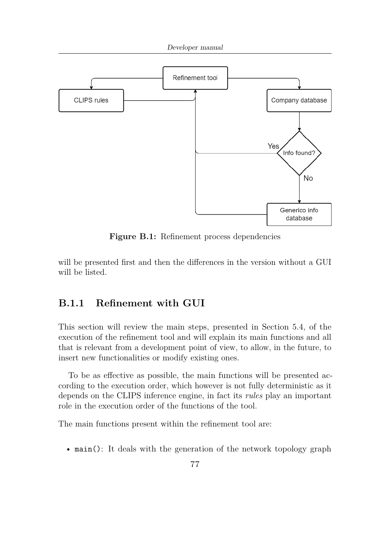<span id="page-92-0"></span>

**Figure B.1:** Refinement process dependencies

will be presented first and then the differences in the version without a GUI will be listed.

### **B.1.1 Refinement with GUI**

This section will review the main steps, presented in Section [5.4,](#page-68-0) of the execution of the refinement tool and will explain its main functions and all that is relevant from a development point of view, to allow, in the future, to insert new functionalities or modify existing ones.

To be as effective as possible, the main functions will be presented according to the execution order, which however is not fully deterministic as it depends on the CLIPS inference engine, in fact its *rules* play an important role in the execution order of the functions of the tool.

The main functions present within the refinement tool are:

• main(): It deals with the generation of the network topology graph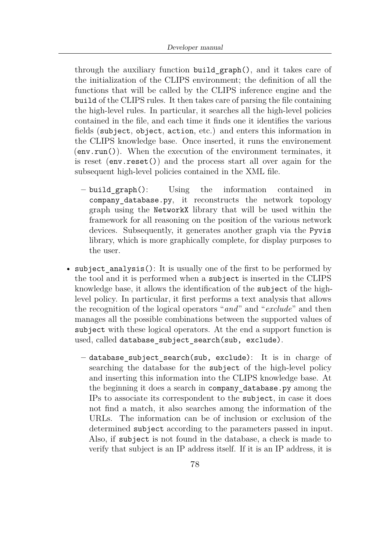through the auxiliary function build\_graph(), and it takes care of the initialization of the CLIPS environment; the definition of all the functions that will be called by the CLIPS inference engine and the build of the CLIPS rules. It then takes care of parsing the file containing the high-level rules. In particular, it searches all the high-level policies contained in the file, and each time it finds one it identifies the various fields (subject, object, action, etc.) and enters this information in the CLIPS knowledge base. Once inserted, it runs the environement (env.run()). When the execution of the environment terminates, it is reset (env.reset()) and the process start all over again for the subsequent high-level policies contained in the XML file.

- **–** build\_graph(): Using the information contained in company database.py, it reconstructs the network topology graph using the NetworkX library that will be used within the framework for all reasoning on the position of the various network devices. Subsequently, it generates another graph via the Pyvis library, which is more graphically complete, for display purposes to the user.
- subject analysis(): It is usually one of the first to be performed by the tool and it is performed when a subject is inserted in the CLIPS knowledge base, it allows the identification of the subject of the highlevel policy. In particular, it first performs a text analysis that allows the recognition of the logical operators "*and*" and "*exclude*" and then manages all the possible combinations between the supported values of subject with these logical operators. At the end a support function is used, called database subject search(sub, exclude).
	- **–** database\_subject\_search(sub, exclude): It is in charge of searching the database for the subject of the high-level policy and inserting this information into the CLIPS knowledge base. At the beginning it does a search in company\_database.py among the IPs to associate its correspondent to the subject, in case it does not find a match, it also searches among the information of the URLs. The information can be of inclusion or exclusion of the determined subject according to the parameters passed in input. Also, if subject is not found in the database, a check is made to verify that subject is an IP address itself. If it is an IP address, it is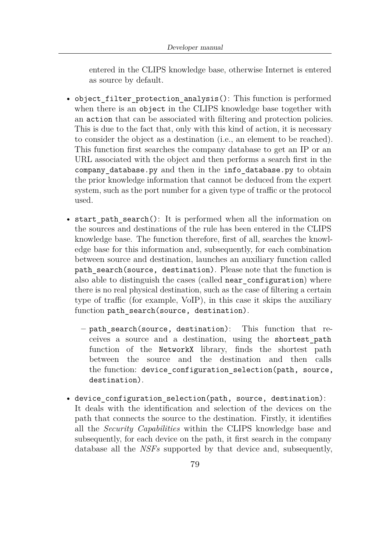entered in the CLIPS knowledge base, otherwise Internet is entered as source by default.

- object filter protection analysis(): This function is performed when there is an object in the CLIPS knowledge base together with an action that can be associated with filtering and protection policies. This is due to the fact that, only with this kind of action, it is necessary to consider the object as a destination (i.e., an element to be reached). This function first searches the company database to get an IP or an URL associated with the object and then performs a search first in the company database.py and then in the info database.py to obtain the prior knowledge information that cannot be deduced from the expert system, such as the port number for a given type of traffic or the protocol used.
- start path search(): It is performed when all the information on the sources and destinations of the rule has been entered in the CLIPS knowledge base. The function therefore, first of all, searches the knowledge base for this information and, subsequently, for each combination between source and destination, launches an auxiliary function called path search(source, destination). Please note that the function is also able to distinguish the cases (called near configuration) where there is no real physical destination, such as the case of filtering a certain type of traffic (for example, VoIP), in this case it skips the auxiliary function path\_search(source, destination).
	- **–** path\_search(source, destination): This function that receives a source and a destination, using the shortest\_path function of the NetworkX library, finds the shortest path between the source and the destination and then calls the function: device configuration selection(path, source, destination).
- device configuration selection(path, source, destination): It deals with the identification and selection of the devices on the path that connects the source to the destination. Firstly, it identifies all the *Security Capabilities* within the CLIPS knowledge base and subsequently, for each device on the path, it first search in the company database all the *NSFs* supported by that device and, subsequently,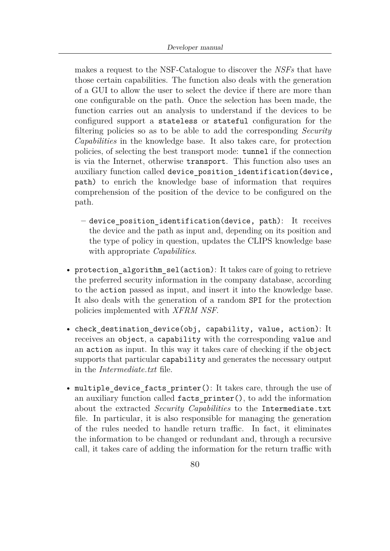makes a request to the NSF-Catalogue to discover the *NSFs* that have those certain capabilities. The function also deals with the generation of a GUI to allow the user to select the device if there are more than one configurable on the path. Once the selection has been made, the function carries out an analysis to understand if the devices to be configured support a stateless or stateful configuration for the filtering policies so as to be able to add the corresponding *Security Capabilities* in the knowledge base. It also takes care, for protection policies, of selecting the best transport mode: tunnel if the connection is via the Internet, otherwise transport. This function also uses an auxiliary function called device position identification(device, path) to enrich the knowledge base of information that requires comprehension of the position of the device to be configured on the path.

- **–** device\_position\_identification(device, path): It receives the device and the path as input and, depending on its position and the type of policy in question, updates the CLIPS knowledge base with appropriate *Capabilities*.
- protection algorithm sel(action): It takes care of going to retrieve the preferred security information in the company database, according to the action passed as input, and insert it into the knowledge base. It also deals with the generation of a random SPI for the protection policies implemented with *XFRM NSF*.
- check\_destination\_device(obj, capability, value, action): It receives an object, a capability with the corresponding value and an action as input. In this way it takes care of checking if the object supports that particular capability and generates the necessary output in the *Intermediate.txt* file.
- multiple device facts printer(): It takes care, through the use of an auxiliary function called facts printer(), to add the information about the extracted *Security Capabilities* to the Intermediate.txt file. In particular, it is also responsible for managing the generation of the rules needed to handle return traffic. In fact, it eliminates the information to be changed or redundant and, through a recursive call, it takes care of adding the information for the return traffic with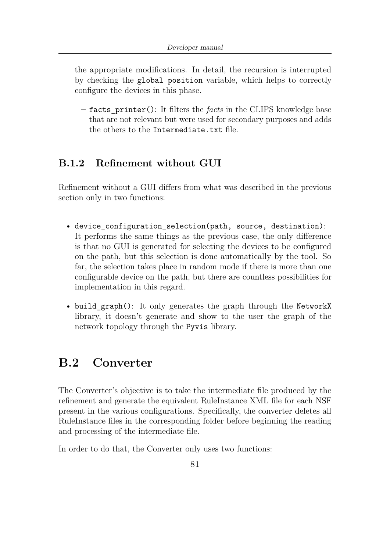the appropriate modifications. In detail, the recursion is interrupted by checking the global position variable, which helps to correctly configure the devices in this phase.

**–** facts\_printer(): It filters the *facts* in the CLIPS knowledge base that are not relevant but were used for secondary purposes and adds the others to the Intermediate.txt file.

## **B.1.2 Refinement without GUI**

Refinement without a GUI differs from what was described in the previous section only in two functions:

- device configuration selection(path, source, destination): It performs the same things as the previous case, the only difference is that no GUI is generated for selecting the devices to be configured on the path, but this selection is done automatically by the tool. So far, the selection takes place in random mode if there is more than one configurable device on the path, but there are countless possibilities for implementation in this regard.
- build graph(): It only generates the graph through the NetworkX library, it doesn't generate and show to the user the graph of the network topology through the Pyvis library.

# **B.2 Converter**

The Converter's objective is to take the intermediate file produced by the refinement and generate the equivalent RuleInstance XML file for each NSF present in the various configurations. Specifically, the converter deletes all RuleInstance files in the corresponding folder before beginning the reading and processing of the intermediate file.

In order to do that, the Converter only uses two functions: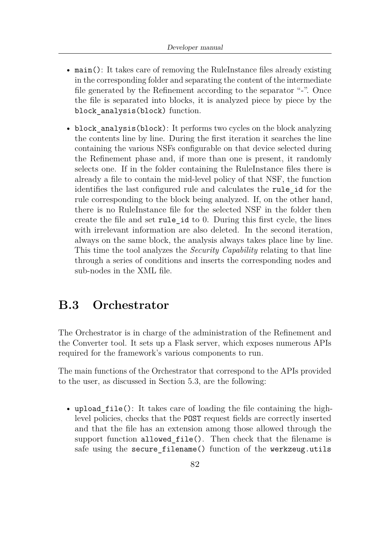- main(): It takes care of removing the RuleInstance files already existing in the corresponding folder and separating the content of the intermediate file generated by the Refinement according to the separator "-". Once the file is separated into blocks, it is analyzed piece by piece by the block analysis(block) function.
- block analysis(block): It performs two cycles on the block analyzing the contents line by line. During the first iteration it searches the line containing the various NSFs configurable on that device selected during the Refinement phase and, if more than one is present, it randomly selects one. If in the folder containing the RuleInstance files there is already a file to contain the mid-level policy of that NSF, the function identifies the last configured rule and calculates the rule\_id for the rule corresponding to the block being analyzed. If, on the other hand, there is no RuleInstance file for the selected NSF in the folder then create the file and set rule\_id to 0. During this first cycle, the lines with irrelevant information are also deleted. In the second iteration, always on the same block, the analysis always takes place line by line. This time the tool analyzes the *Security Capability* relating to that line through a series of conditions and inserts the corresponding nodes and sub-nodes in the XML file.

## **B.3 Orchestrator**

The Orchestrator is in charge of the administration of the Refinement and the Converter tool. It sets up a Flask server, which exposes numerous APIs required for the framework's various components to run.

The main functions of the Orchestrator that correspond to the APIs provided to the user, as discussed in Section [5.3,](#page-67-0) are the following:

• upload file(): It takes care of loading the file containing the highlevel policies, checks that the POST request fields are correctly inserted and that the file has an extension among those allowed through the support function allowed\_file(). Then check that the filename is safe using the secure filename() function of the werkzeug.utils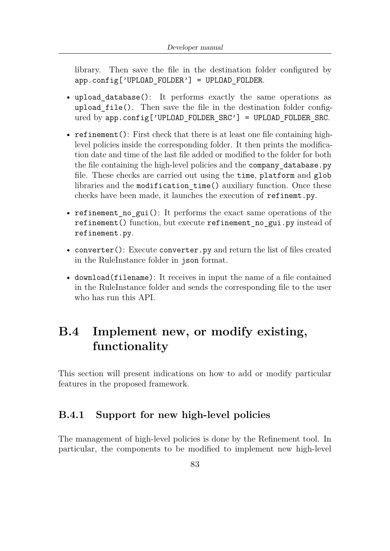library. Then save the file in the destination folder configured by  $app.config['UPLOAD$   $FOLDER'$ ] = UPLOAD  $FOLDER$ .

- upload\_database(): It performs exactly the same operations as upload\_file(). Then save the file in the destination folder configured by app.config['UPLOAD\_FOLDER\_SRC'] = UPLOAD\_FOLDER\_SRC.
- refinement(): First check that there is at least one file containing highlevel policies inside the corresponding folder. It then prints the modification date and time of the last file added or modified to the folder for both the file containing the high-level policies and the company\_database.py file. These checks are carried out using the time, platform and glob libraries and the modification\_time() auxiliary function. Once these checks have been made, it launches the execution of refinemt.py.
- refinement no gui(): It performs the exact same operations of the refinement() function, but execute refinement no gui.py instead of refinement.py.
- converter(): Execute converter.py and return the list of files created in the RuleInstance folder in json format.
- download(filename): It receives in input the name of a file contained in the RuleInstance folder and sends the corresponding file to the user who has run this API.

# **B.4 Implement new, or modify existing, functionality**

This section will present indications on how to add or modify particular features in the proposed framework.

### **B.4.1 Support for new high-level policies**

The management of high-level policies is done by the Refinement tool. In particular, the components to be modified to implement new high-level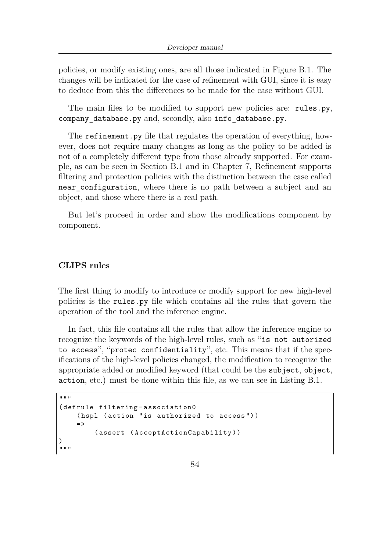policies, or modify existing ones, are all those indicated in Figure [B.1.](#page-92-0) The changes will be indicated for the case of refinement with GUI, since it is easy to deduce from this the differences to be made for the case without GUI.

The main files to be modified to support new policies are: rules.py, company\_database.py and, secondly, also info\_database.py.

The refinement.py file that regulates the operation of everything, however, does not require many changes as long as the policy to be added is not of a completely different type from those already supported. For example, as can be seen in Section [B.1](#page-91-0) and in Chapter [7,](#page-84-0) Refinement supports filtering and protection policies with the distinction between the case called near configuration, where there is no path between a subject and an object, and those where there is a real path.

But let's proceed in order and show the modifications component by component.

#### **CLIPS rules**

The first thing to modify to introduce or modify support for new high-level policies is the rules.py file which contains all the rules that govern the operation of the tool and the inference engine.

In fact, this file contains all the rules that allow the inference engine to recognize the keywords of the high-level rules, such as "is not autorized to access", "protec confidentiality", etc. This means that if the specifications of the high-level policies changed, the modification to recognize the appropriate added or modified keyword (that could be the subject, object, action, etc.) must be done within this file, as we can see in Listing [B.1.](#page-99-0)

```
\overline{m} \overline{m}( defrule filtering - association0
      (hspl (action "is authorized to access"))
      = >
             ( assert ( AcceptActionCapability ) )
)
^{\prime\prime\prime\prime\prime\prime\prime}
```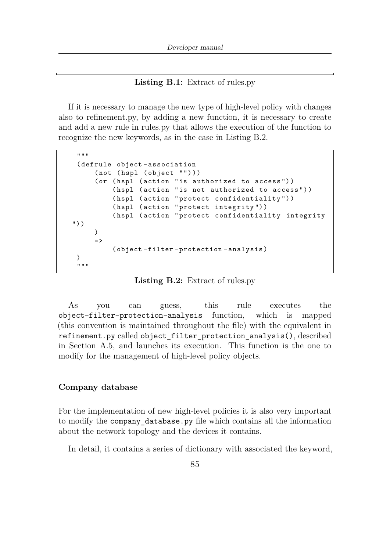#### **Listing B.1:** Extract of rules.py

If it is necessary to manage the new type of high-level policy with changes also to refinement.py, by adding a new function, it is necessary to create and add a new rule in rules.py that allows the execution of the function to recognize the new keywords, as in the case in Listing [B.2.](#page-100-0)

```
"" ""
 ( defrule object - association
     (not (hspl (object "")))
     (or (hspl (action "is authorized to access"))
          (hspl (action "is not authorized to access"))
          (hspl (action "protect confidentiality"))
          (hspl (action "protect integrity"))
          (hspl (action "protect confidentiality integrity
") )
     )
     = >( object - filter - protection - analysis )
 )
 """ "
```
**Listing B.2:** Extract of rules.py

As you can guess, this rule executes the object-filter-protection-analysis function, which is mapped (this convention is maintained throughout the file) with the equivalent in refinement.py called object\_filter\_protection\_analysis(), described in Section [A.5,](#page-88-0) and launches its execution. This function is the one to modify for the management of high-level policy objects.

#### **Company database**

For the implementation of new high-level policies it is also very important to modify the company database.py file which contains all the information about the network topology and the devices it contains.

In detail, it contains a series of dictionary with associated the keyword,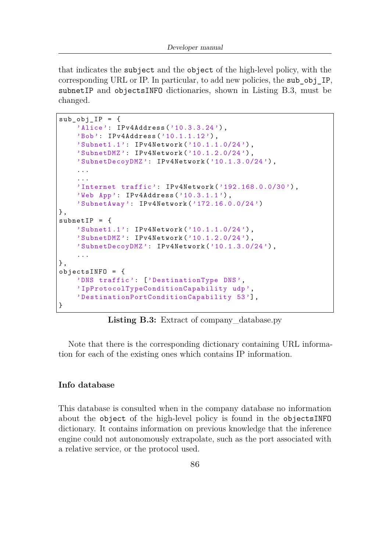that indicates the subject and the object of the high-level policy, with the corresponding URL or IP. In particular, to add new policies, the sub\_obj\_IP, subnetIP and objectsINFO dictionaries, shown in Listing [B.3,](#page-101-0) must be changed.

```
sub obj IP = {'Alice': IPv4Address('10.3.3.24'),
    'Bob': IPv4Address('10.1.1.12'),
    'Subnet1 .1 ': IPv4Network ('10.1.1.0/24 ') ,
    'SubnetDMZ ': IPv4Network ('10.1.2.0/24 ') ,
    ' SubnetDecoyDMZ ': IPv4Network ('10.1.3.0/24 ') ,
    ...
    ...
    'Internet traffic': IPv4Network ('192.168.0.0/30'),
    'Web App': IPv4Address('10.3.1.1'),
    'SubnetAway ': IPv4Network (' 172.16.0.0/24 ')
} ,
subnetIP = f'Subnet1 .1 ': IPv4Network ('10.1.1.0/24 ') ,
    'SubnetDMZ ': IPv4Network ('10.1.2.0/24 ') ,
    ' SubnetDecoyDMZ ': IPv4Network ('10.1.3.0/24 ') ,
    ...
} ,
objectsINFO = {
    'DNS traffic ': [' DestinationType DNS ',
    ' IpProtocolTypeConditionCapability udp ',
    ' DestinationPortConditionCapability 53 '] ,
}
```
**Listing B.3:** Extract of company\_database.py

Note that there is the corresponding dictionary containing URL information for each of the existing ones which contains IP information.

#### **Info database**

This database is consulted when in the company database no information about the object of the high-level policy is found in the objectsINFO dictionary. It contains information on previous knowledge that the inference engine could not autonomously extrapolate, such as the port associated with a relative service, or the protocol used.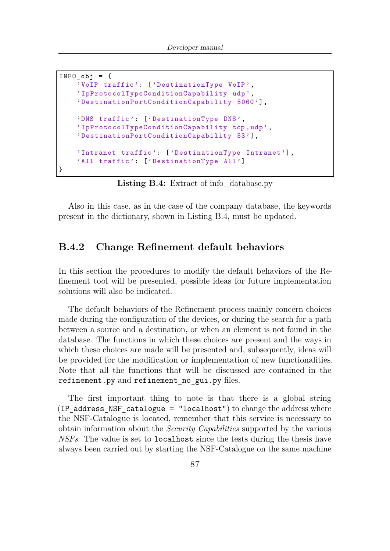```
INFO obj = {'VoIP traffic ': [' DestinationType VoIP ',
    ' IpProtocolTypeConditionCapability udp ',
    ' DestinationPortConditionCapability 5060 '] ,
    'DNS traffic ': [' DestinationType DNS ',
    ' IpProtocolTypeConditionCapability tcp ,udp ',
    ' DestinationPortConditionCapability 53 '] ,
    'Intranet traffic': ['DestinationType Intranet'],
    'All traffic': ['DestinationType All']
}
```
**Listing B.4:** Extract of info\_database.py

Also in this case, as in the case of the company database, the keywords present in the dictionary, shown in Listing [B.4,](#page-102-0) must be updated.

### **B.4.2 Change Refinement default behaviors**

In this section the procedures to modify the default behaviors of the Refinement tool will be presented, possible ideas for future implementation solutions will also be indicated.

The default behaviors of the Refinement process mainly concern choices made during the configuration of the devices, or during the search for a path between a source and a destination, or when an element is not found in the database. The functions in which these choices are present and the ways in which these choices are made will be presented and, subsequently, ideas will be provided for the modification or implementation of new functionalities. Note that all the functions that will be discussed are contained in the refinement.py and refinement\_no\_gui.py files.

The first important thing to note is that there is a global string (IP address NSF catalogue = "localhost") to change the address where the NSF-Catalogue is located, remember that this service is necessary to obtain information about the *Security Capabilities* supported by the various *NSFs*. The value is set to localhost since the tests during the thesis have always been carried out by starting the NSF-Catalogue on the same machine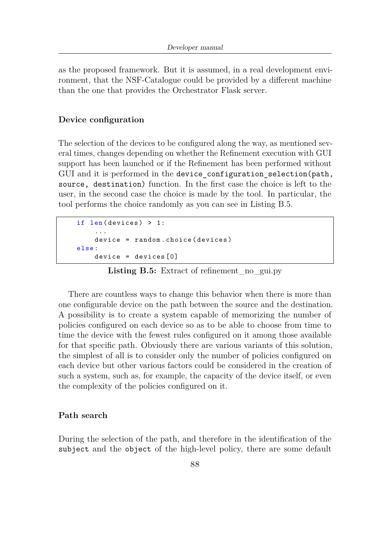as the proposed framework. But it is assumed, in a real development environment, that the NSF-Catalogue could be provided by a different machine than the one that provides the Orchestrator Flask server.

#### **Device configuration**

The selection of the devices to be configured along the way, as mentioned several times, changes depending on whether the Refinement execution with GUI support has been launched or if the Refinement has been performed without GUI and it is performed in the device configuration selection(path, source, destination) function. In the first case the choice is left to the user, in the second case the choice is made by the tool. In particular, the tool performs the choice randomly as you can see in Listing [B.5.](#page-103-0)

```
if len(devices) > 1:
    ...
    device = random . choice ( devices )
else :
    device = devices [0]
```
**Listing B.5:** Extract of refinement\_no\_gui.py

There are countless ways to change this behavior when there is more than one configurable device on the path between the source and the destination. A possibility is to create a system capable of memorizing the number of policies configured on each device so as to be able to choose from time to time the device with the fewest rules configured on it among those available for that specific path. Obviously there are various variants of this solution, the simplest of all is to consider only the number of policies configured on each device but other various factors could be considered in the creation of such a system, such as, for example, the capacity of the device itself, or even the complexity of the policies configured on it.

#### **Path search**

During the selection of the path, and therefore in the identification of the subject and the object of the high-level policy, there are some default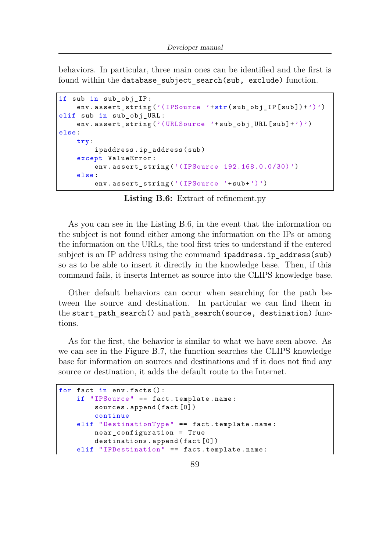behaviors. In particular, three main ones can be identified and the first is found within the database subject search(sub, exclude) function.

```
if sub in sub_obj_IP :
    env.assert_string('(IPSource '+str(sub_obj_IP[sub])+')')
elif sub in sub_obj_URL :
    env.assert_string('(URLSource '+sub_obj_URL [sub]+')')
else :
    try:
        ipaddress . ip_address ( sub )
    except ValueError :
        env . assert_string ('( IPSource 192.168.0.0/30) ')
    else :
        env.assert string ('(IPSource '+ sub +')')
```
**Listing B.6:** Extract of refinement.py

As you can see in the Listing [B.6,](#page-104-0) in the event that the information on the subject is not found either among the information on the IPs or among the information on the URLs, the tool first tries to understand if the entered subject is an IP address using the command ipaddress.ip address(sub) so as to be able to insert it directly in the knowledge base. Then, if this command fails, it inserts Internet as source into the CLIPS knowledge base.

Other default behaviors can occur when searching for the path between the source and destination. In particular we can find them in the start path search() and path search(source, destination) functions.

As for the first, the behavior is similar to what we have seen above. As we can see in the Figure [B.7,](#page-104-1) the function searches the CLIPS knowledge base for information on sources and destinations and if it does not find any source or destination, it adds the default route to the Internet.

```
for fact in env. facts():
    if " IPSource " == fact . template . name :
        sources.append (fact [0])
        continue
    elif " DestinationType " == fact . template . name :
        near_configuration = True
        destinations.append (fact [0])
    elif "IPDestination" == fact.template.name:
```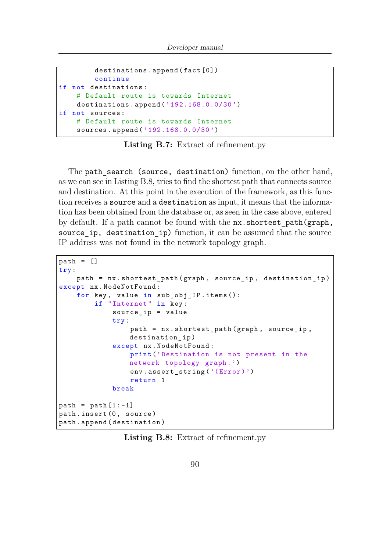```
destinations.append (fact [0])
        continue
if not destinations :
    # Default route is towards Internet
    destinations.append ('192.168.0.0/30')
if not sources :
    # Default route is towards Internet
    sources.append ('192.168.0.0/30')
```
**Listing B.7:** Extract of refinement.py

The path search (source, destination) function, on the other hand, as we can see in Listing [B.8,](#page-105-0) tries to find the shortest path that connects source and destination. At this point in the execution of the framework, as this function receives a source and a destination as input, it means that the information has been obtained from the database or, as seen in the case above, entered by default. If a path cannot be found with the nx.shortest\_path(graph, source ip, destination ip) function, it can be assumed that the source IP address was not found in the network topology graph.

```
path = []try:
    path = nx. shortest path (graph, source ip, destination ip)
except nx . NodeNotFound :
    for key, value in sub_obj_IP.items():
        if "Internet" in key:
            source_ip = value
            try:
                 path = nx.shortest.path (graph, source_ip,destination ip)
            except nx . NodeNotFound :
                 print ('Destination is not present in the
                network topology graph .')
                 env.assert_string('(Error)')
                 return 1
            break
path = path [1:-1]path.insert (0, source)
path . append ( destination )
```
**Listing B.8:** Extract of refinement.py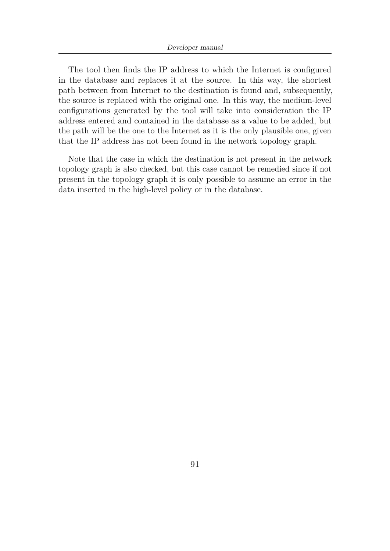The tool then finds the IP address to which the Internet is configured in the database and replaces it at the source. In this way, the shortest path between from Internet to the destination is found and, subsequently, the source is replaced with the original one. In this way, the medium-level configurations generated by the tool will take into consideration the IP address entered and contained in the database as a value to be added, but the path will be the one to the Internet as it is the only plausible one, given that the IP address has not been found in the network topology graph.

Note that the case in which the destination is not present in the network topology graph is also checked, but this case cannot be remedied since if not present in the topology graph it is only possible to assume an error in the data inserted in the high-level policy or in the database.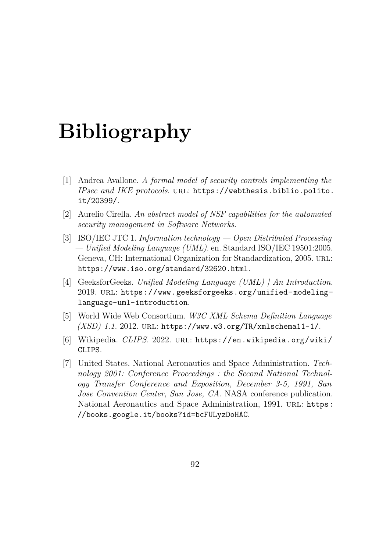# **Bibliography**

- <span id="page-107-1"></span>[1] Andrea Avallone. *A formal model of security controls implementing the IPsec and IKE protocols*. url: [https://webthesis.biblio.polito.](https://webthesis.biblio.polito.it/20399/) [it/20399/](https://webthesis.biblio.polito.it/20399/).
- <span id="page-107-0"></span>[2] Aurelio Cirella. *An abstract model of NSF capabilities for the automated security management in Software Networks*.
- [3] ISO/IEC JTC 1. *Information technology Open Distributed Processing — Unified Modeling Language (UML)*. en. Standard ISO/IEC 19501:2005. Geneva, CH: International Organization for Standardization, 2005. URL: <https://www.iso.org/standard/32620.html>.
- [4] GeeksforGeeks. *Unified Modeling Language (UML) | An Introduction*. 2019. url: [https://www.geeksforgeeks.org/unified-modeling](https://www.geeksforgeeks.org/unified-modeling-language-uml-introduction)[language-uml-introduction](https://www.geeksforgeeks.org/unified-modeling-language-uml-introduction).
- [5] World Wide Web Consortium. *W3C XML Schema Definition Language (XSD) 1.1*. 2012. url: <https://www.w3.org/TR/xmlschema11-1/>.
- [6] Wikipedia. *CLIPS*. 2022. url: [https://en.wikipedia.org/wiki/](https://en.wikipedia.org/wiki/CLIPS) [CLIPS](https://en.wikipedia.org/wiki/CLIPS).
- [7] United States. National Aeronautics and Space Administration. *Technology 2001: Conference Proceedings : the Second National Technology Transfer Conference and Exposition, December 3-5, 1991, San Jose Convention Center, San Jose, CA.* NASA conference publication. National Aeronautics and Space Administration, 1991. URL: [https:](https://books.google.it/books?id=bcFULyzDoHAC) [//books.google.it/books?id=bcFULyzDoHAC](https://books.google.it/books?id=bcFULyzDoHAC).